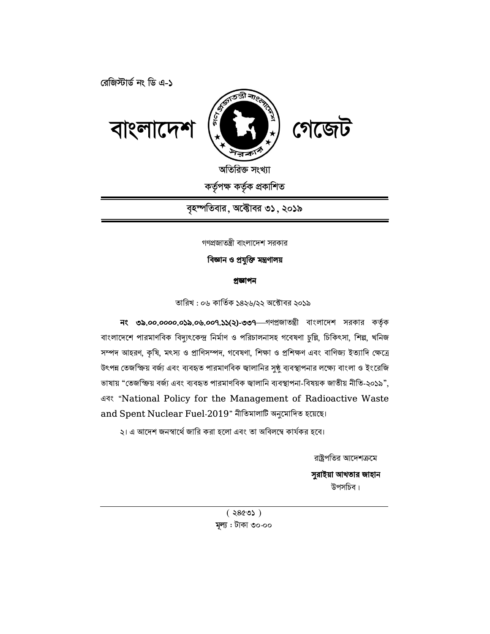

বাংলাদেশ

রেজিস্টার্ড নং ডি এ-১

অতিরিক্ত সংখ্যা কৰ্তৃপক্ষ কৰ্তৃক প্ৰকাশিত

 $\widehat{\mathbb{E}}$  and  $\widehat{\mathbb{E}}$ 

বৃহস্পতিবার, অক্টোবর ৩১, ২০১৯

গণপ্রজাতন্ত্রী বাংলাদেশ সরকার

# বিজ্ঞান ও প্রযুক্তি মন্ত্রণালয়

#### প্ৰজ্ঞাপন

তারিখ : ০৬ কার্তিক ১৪২৬/২২ অক্টোবর ২০১৯

নং ৩৯.০০.০০০০.০১৯.০৬.০০৭.১১(২)-৩৩৭ গণপ্রজাতন্ত্রী বাংলাদেশ সরকার কর্তৃক বাংলাদেশে পারমাণবিক বিদ্যুৎকেন্দ্র নির্মাণ ও পরিচালনাসহ গবেষণা চুল্লি, চিকিৎসা, শিল্প, খনিজ সম্পদ আহরণ, কৃষি, মৎস্য ও প্রাণিসম্পদ, গবেষণা, শিক্ষা ও প্রশিক্ষণ এবং বাণিজ্য ইত্যাদি ক্ষেত্রে উৎপন্ন তেজস্ক্রিয় বর্জ্য এবং ব্যবহৃত পারমাণবিক জ্বালানির সুষ্ঠু ব্যবস্থাপনার লক্ষ্যে বাংলা ও ইংরেজি ভাষায় "তেজস্ক্রিয় বর্জ্য এবং ব্যবহৃত পারমাণবিক জ্বালানি ব্যবস্থাপনা-বিষয়ক জাতীয় নীতি-২০১৯", এবং "National Policy for the Management of Radioactive Waste and Spent Nuclear Fuel-2019" নীতিমালাটি অনুমোদিত হয়েছে।

২। এ আদেশ জনস্বার্থে জারি করা হলো এবং তা অবিলম্বে কার্যকর হবে।

রাষ্ট্রপতির আদেশক্রমে

সুরাইয়া আখতার জাহান উপসচিব।

 $(3860)$ মূল্য : টাকা ৩০.০০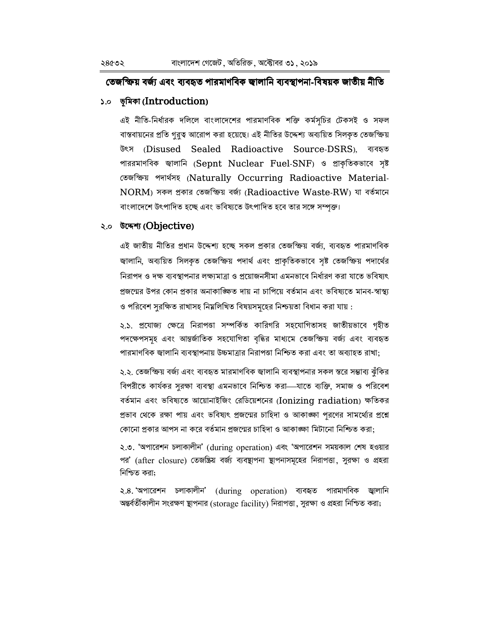# তেজস্ক্রিয় বর্জ্য এবং ব্যবহৃত পারমাণবিক জ্বালানি ব্যবস্থাপনা-বিষয়ক জাতীয় নীতি

# ১.০ ভূমিকা (Introduction)

এই নীতি-নির্ধারক দলিলে বাংলাদেশের পারমাণবিক শক্তি কর্মসূচির টেকসই ও সফল বাস্তবায়নের প্রতি গুরুত্ব আরোপ করা হয়েছে। এই নীতির উদ্দেশ্য অব্যয়িত সিলকৃত তেজস্ক্রিয় উৎস (Disused Sealed Radioactive Source-DSRS), ব্যবহৃত পাররমাণবিক জালানি (Sepnt Nuclear Fuel-SNF) ও প্রাকৃতিকভাবে সৃষ্ট তেজক্ষিয় পদাৰ্থসহ (Naturally Occurring Radioactive Material-NORM) সকল প্ৰকাৰ তেজক্ষিয় বৰ্জা (Radioactive Waste-RW) যা বৰ্তমানে বাংলাদেশে উৎপাদিত হচ্ছে এবং ভবিষ্যতে উৎপাদিত হবে তার সঙ্গে সম্পক্ত।

# २.० উদ্দেশ্য (Objective)

এই জাতীয় নীতির প্রধান উদ্দেশ্য হচ্ছে সকল প্রকার তেজস্ক্রিয় বর্জ্য, ব্যবহৃত পারমাণবিক জ্বালানি, অব্যয়িত সিলকৃত তেজস্ক্রিয় পদার্থ এবং প্রাকৃতিকভাবে সৃষ্ট তেজস্ক্রিয় পদার্থের নিরাপদ ও দক্ষ ব্যবস্থাপনার লক্ষ্যমাত্রা ও প্রয়োজনসীমা এমনভাবে নির্ধারণ করা যাতে ভবিষ্যৎ প্রজন্মের উপর কোন প্রকার অনাকাঙ্ক্ষিত দায় না চাপিয়ে বর্তমান এবং ভবিষ্যতে মানব-স্বাস্থ্য ও পরিবেশ সরক্ষিত রাখাসহ নিম্নলিখিত বিষয়সমূহের নিশ্চয়তা বিধান করা যায় :

২.১. প্রযোজ্য ক্ষেত্রে নিরাপত্তা সম্পর্কিত কারিগরি সহযোগিতাসহ জাতীয়ভাবে গৃহীত পদক্ষেপসমূহ এবং আন্তর্জাতিক সহযোগিতা বৃদ্ধির মাধ্যমে তেজস্ক্রিয় বর্জ্য এবং ব্যবহৃত পারমাণবিক জ্বালানি ব্যবস্থাপনায় উচ্চমাত্রার নিরাপত্তা নিশ্চিত করা এবং তা অব্যাহত রাখা:

২.২. তেজস্ক্রিয় বর্জ্য এবং ব্যবহৃত মারমাণবিক জ্বালানি ব্যবস্থাপনার সকল স্তরে সম্ভাব্য ঝঁকির বিপরীতে কার্যকর সুরক্ষা ব্যবস্থা এমনভাবে নিশ্চিত করা—যাতে ব্যক্তি, সমাজ ও পরিবেশ বর্তমান এবং ভবিষ্যতে আয়োনাইজিং রেডিয়েশনের (Ionizing radiation) ক্ষতিকর প্রভাব থেকে রক্ষা পায় এবং ভবিষ্যৎ প্রজন্মের চাহিদা ও আকাজ্ঞ্চা পরণের সামর্থ্যের প্রশ্নে কোনো প্রকার আপস না করে বর্তমান প্রজন্মের চাহিদা ও আকাঙ্ক্ষা মিটানো নিশ্চিত করা:

২.৩. 'অপারেশন চলাকালীন' (during operation) এবং 'অপারেশন সময়কাল শেষ হওয়ার পর' (after closure) তেজষ্ক্রিয় বর্জ্য ব্যবস্থাপনা স্থাপনাসমূহের নিরাপত্তা, সুরক্ষা ও প্রহরা নিশ্চিত করা:

২.৪. অপারেশন চলাকালীন' (during operation) ব্যবহৃত পারমাণবিক জ্বালানি অন্তর্বর্তীকালীন সংরক্ষণ ষ্থাপনার (storage facility) নিরাপত্তা, সুরক্ষা ও প্রহরা নিশ্চিত করা;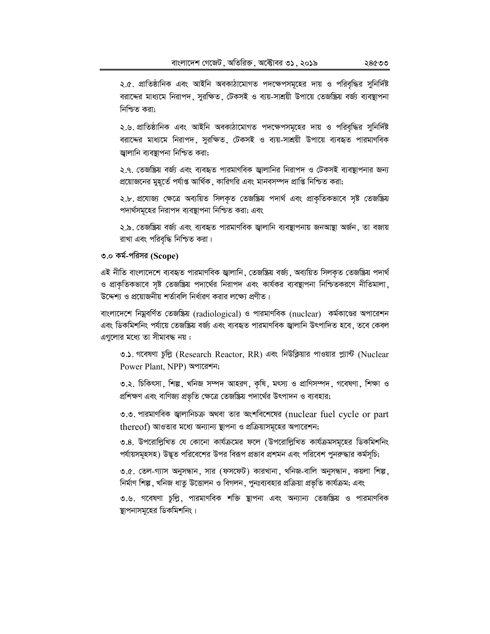২.৫. প্রাতিষ্ঠানিক এবং আইনি অবকাঠামোগত পদক্ষেপসমূহের দায় ও পরিবৃদ্ধির সুনির্দিষ্ট বরাদ্দের মাধ্যমে নিরাপদ, সুরক্ষিত, টেকসই ও ব্যয়-সাশ্রয়ী উপায়ে তেজষ্ক্রিয় বর্জ্য ব্যবস্থাপনা নিশ্চিত করা:

২.৬. প্রাতিষ্ঠানিক এবং আইনি অবকাঠামোগত পদক্ষেপসমূহের দায় ও পরিবৃদ্ধির সুনির্দিষ্ট বরাদ্দের মাধ্যমে নিরাপদ, সুরক্ষিত, টেকসই ও ব্যয়-সাশ্রয়ী উপায়ে ব্যবহৃত পারমাণবিক জ্বালানি ব্যবস্থাপনা নিশ্চিত করা;

২.৭. তেজষ্ক্রিয় বর্জ্য এবং ব্যবহৃত পারমাণবিক জ্বালানির নিরাপদ ও টেকসই ব্যবস্থাপনার জন্য প্রয়োজনের মুহূর্তে পর্যাপ্ত আর্থিক , কারিগরি এবং মানবসম্পদ প্রাপ্তি নিশ্চিত করা;

২.৮. প্রযোজ্য ক্ষেত্রে অব্যয়িত সিলকৃত তেজষ্ক্রিয় পদার্থ এবং প্রাকৃতিকভাবে সৃষ্ট তেজষ্ক্রিয় পদার্থসমূহের নিরাপদ ব্যবস্থাপনা নিশ্চিত করা; এবং

২.৯. তেজষ্ক্রিয় বর্জ্য এবং ব্যবহৃত পারমাণবিক জ্বালানি ব্যবস্থাপনায় জনআষ্থা অর্জন, তা বজায় রাখা এবং পরিবৃদ্ধি নিশ্চিত করা।

# ৩.০ কর্ম-পরিসর (Scope)

এই নীতি বাংলাদেশে ব্যবহৃত পারমাণবিক জ্বালানি, তেজষ্ক্রিয় বর্জ্য, অব্যয়িত সিলকৃত তেজষ্ক্রিয় পদার্থ ও প্রাকৃতিকভাবে সৃষ্ট তেজষ্ক্রিয় পদার্থের নিরাপদ এবং কার্যকর ব্যবস্থাপনা নিশ্চিতকরণে নীতিমালা উদ্দেশ্য ও প্রয়োজনীয় শর্তাবলি নির্ধারণ করার লক্ষ্যে প্রণীত।

বাংলাদেশে নিয়ুবর্ণিত তেজষ্ক্রিয় (radiological) ও পারমাণবিক (nuclear) কর্মকাণ্ডের অপারেশন এবং ডিকমিশনিং পর্যায়ে তেজস্ত্রিয় বর্জ্য এবং ব্যবহৃত পারমাণবিক জ্বালানি উৎপাদিত হবে , তবে কেবল এগুলোর মধ্যে তা সীমাবদ্ধ নয় :

৩.১. গবেষণা চুল্লি (Research Reactor, RR) এবং নিউক্লিয়ার পাওয়ার প্ল্যান্ট (Nuclear Power Plant, NPP) অপারেশন;

৩.২. চিকিৎসা, শিল্প, খনিজ সম্পদ আহরণ, কৃষি, মৎস্য ও প্রাণিসম্পদ, গবেষণা, শিক্ষা ও প্রশিক্ষণ এবং বাণিজ্য প্রভৃতি ক্ষেত্রে তেজষ্ক্রিয় পদার্থের উৎপাদন ও ব্যবহার;

৩.৩. পারমাণবিক জ্বালানিচক্র অথবা তার অংশবিশেষের (nuclear fuel cycle or part thereof) আওতার মধ্যে অন্যান্য স্থাপনা ও প্রক্রিয়াসমূহের অপারেশন;

৩.৪. উপরোল্লিখিত যে কোনো কার্যক্রমের ফলে (উপরোল্লিখিত কার্যক্রমসমূহের ডিকমিশনিং পর্যায়সমূহসহ) উদ্ভূত পরিবেশের উপর বিরূপ প্রভাব প্রশমন এবং পরিবেশ পুনরুদ্ধার কর্মসূচি;

৩.৫. তেল-গ্যাস অনুসন্ধান, সার (ফসফেট) কারখানা, খনিজ-বালি অনুসন্ধান, কয়লা শিল্প, নিৰ্মাণ শিল্প, খনিজ ধাতু উত্তোলন ও বিগলন, পুনঃব্যবহার প্রক্রিয়া প্রভৃতি কার্যক্রম; এবং

৩.৬. গবেষণা চুল্লি, পারমাণবিক শক্তি স্থাপনা এবং অন্যান্য তেজষ্ক্রিয় ও পারমাণবিক স্থাপনাসমূহের ডিকমিশনিং।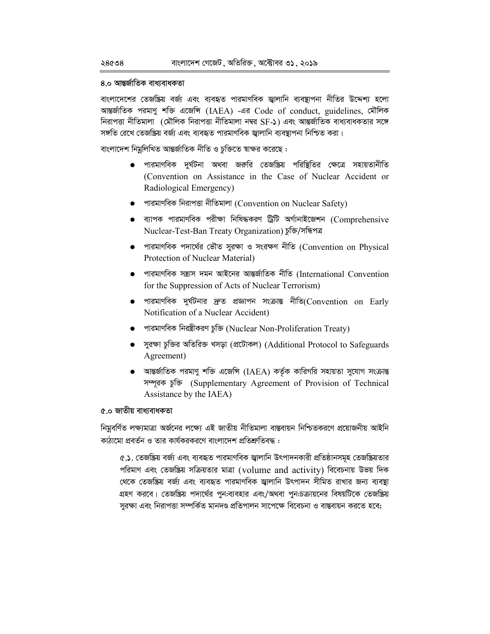### ৪.০ আন্তর্জাতিক বাধ্যবাধকতা

বাংলাদেশের তেজষ্ক্রিয় বর্জ্য এবং ব্যবহৃত পারমাণবিক জ্বালানি ব্যবস্থাপনা নীতির উদ্দেশ্য হলো আন্তর্জাতিক পরমাণু শক্তি এজেন্সি (IAEA) -এর Code of conduct, guidelines, মৌলিক নিরাপত্তা নীতিমালা (মৌলিক নিরাপত্তা নীতিমালা নম্বর SF-১) এবং আন্তর্জাতিক বাধ্যবাধকতার সঙ্গে সঙ্গতি রেখে তেজষ্ক্রিয় বর্জ্য এবং ব্যবহৃত পারমাণবিক জ্বালানি ব্যবস্থাপনা নিশ্চিত করা।

বাংলাদেশ নিমুলিখিত আন্তর্জাতিক নীতি ও চুক্তিতে স্বাক্ষর করেছে :

- পারমাণবিক দুর্ঘটনা অথবা জরুরি তেজষ্ক্রিয় পরিষ্থিতির ক্ষেত্রে সহায়তানীতি (Convention on Assistance in the Case of Nuclear Accident or Radiological Emergency)
- পারমাণবিক নিরাপত্তা নীতিমালা (Convention on Nuclear Safety)
- $\bullet$  ব্যাপক পারমাণবিক পরীক্ষা নিষিদ্ধকরণ ট্রিটি অর্গানাইজেশন (Comprehensive Nuclear-Test-Ban Treaty Organization) চুক্তি/সন্ধিপত্র
- $\bullet$  পারমাণবিক পদার্থের ভৌত সুরক্ষা ও সংরক্ষণ নীতি (Convention on Physical Protection of Nuclear Material)
- $\bullet$  পারমাণবিক সন্ত্রাস দমন আইনের আন্তর্জাতিক নীতি (International Convention for the Suppression of Acts of Nuclear Terrorism)
- $\bullet$  পারমাণবিক দুর্ঘটনার দ্রুত প্রজ্ঞাপন সংক্রান্ত নীতি(Convention on Early Notification of a Nuclear Accident)
- পারমাণবিক নিরন্ত্রীকরণ চুক্তি (Nuclear Non-Proliferation Treaty)
- সুরক্ষা চুক্তির অতিরিক্ত খসড়া (প্রটোকল) (Additional Protocol to Safeguards Agreement)
- $\bullet$  আন্তর্জাতিক পরমাণু শক্তি এজেন্সি (IAEA) কর্তৃক কারিগরি সহায়তা সুযোগ সংক্রান্ত সম্পূরক চুক্তি (Supplementary Agreement of Provision of Technical Assistance by the IAEA)

### ৫.০ জাতীয় বাধ্যবাধকতা

নিমুবর্ণিত লক্ষ্যমাত্রা অর্জনের লক্ষ্যে এই জাতীয় নীতিমালা বাস্তবায়ন নিশ্চিতকরণে প্রয়োজনীয় আইনি কাঠামো প্রবর্তন ও তার কার্যকরকরণে বাংলাদেশ প্রতিশ্রুতিবদ্ধ :

৫.১. তেজষ্ক্রিয় বর্জ্য এবং ব্যবহৃত পারমাণবিক জ্বালানি উৎপাদনকারী প্রতিষ্ঠানসমূহ তেজষ্ক্রিয়তার পরিমাণ এবং তেজষ্ক্রিয় সক্রিয়তার মাত্রা (volume and activity) বিবেচনায় উভয় দিক থেকে তেজষ্ক্রিয় বর্জ্য এবং ব্যবহৃত পারমাণবিক জ্বালানি উৎপাদন সীমিত রাখার জন্য ব্যবস্থা গ্রহণ করবে। তেজষ্ক্রিয় পদার্থের পুন:ব্যবহার এবং/অথবা পুন:চক্রায়নের বিষয়টিকে তেজষ্ক্রিয় সুরক্ষা এবং নিরাপত্তা সম্পর্কিত মানদণ্ড প্রতিপালন সাপেক্ষে বিবেচনা ও বাস্তবায়ন করতে হবে;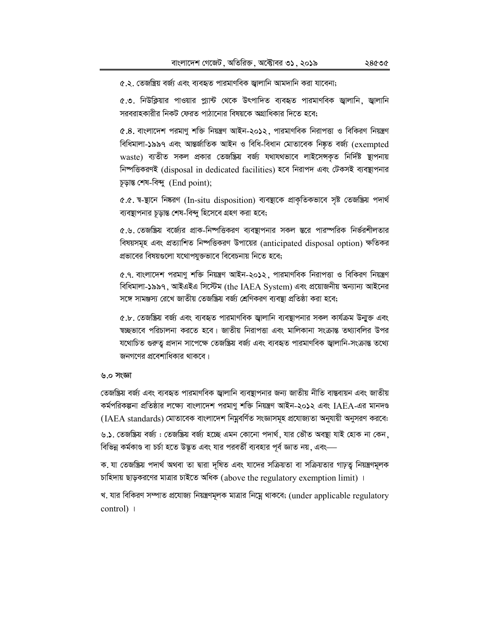৫.২. তেজম্ব্রিয় বর্জ্য এবং ব্যবহৃত পারমাণবিক জ্বালানি আমদানি করা যাবেনা;

৫.৩. নিউক্লিয়ার পাওয়ার প্ল্যান্ট থেকে উৎপাদিত ব্যবহৃত পারমাণবিক জ্বালানি, জ্বালানি সরবরাহকারীর নিকট ফেরত পাঠানোর বিষয়কে অগ্রাধিকার দিতে হবে;

৫.৪. বাংলাদেশ পরমাণু শক্তি নিয়ন্ত্রণ আইন-২০১২, পারমাণবিক নিরাপত্তা ও বিকিরণ নিয়ন্ত্রণ বিধিমালা-১৯৯৭ এবং আন্তর্জাতিক আইন ও বিধি-বিধান মোতাবেক নিষ্কৃত বর্জ্য (exempted waste) ব্যতীত সকল প্রকার তেজষ্ক্রিয় বর্জ্য যথাযথভাবে লাইসেন্সকৃত নির্দিষ্ট স্থাপনায় নিষ্পত্তিকরণই (disposal in dedicated facilities) হবে নিরাপদ এবং টেকসই ব্যবস্থাপনার চূড়ান্ত শেষ-বিন্দু (End point);

৫.৫. স্ব-ষ্থানে নিষ্করণ (In-situ disposition) ব্যবস্থাকে প্রাকৃতিকভাবে সৃষ্ট তেজষ্ক্রিয় পদার্থ ব্যবস্থাপনার চড়ান্ত শেষ-বিন্দু হিসেবে গ্রহণ করা হবে;

৫.৬. তেজষ্ক্রিয় বর্জ্যের প্রাক-নিষ্পত্তিকরণ ব্যবস্থাপনার সকল স্তরে পারস্পরিক নির্ভরশীলতার বিষয়সমূহ এবং প্রত্যাশিত নিষ্পত্তিকরণ উপায়ের (anticipated disposal option) ক্ষতিকর প্রভাবের বিষয়গুলো যথোপযুক্তভাবে বিবেচনায় নিতে হবে;

৫.৭. বাংলাদেশ পরমাণু শক্তি নিয়ন্ত্রণ আইন-২০১২, পারমাণবিক নিরাপত্তা ও বিকিরণ নিয়ন্ত্রণ বিধিমালা-১৯৯৭, আইএইএ সিস্টেম (the IAEA System) এবং প্রয়োজনীয় অন্যান্য আইনের সঙ্গে সামঞ্জস্য রেখে জাতীয় তেজষ্ক্রিয় বর্জ্য শ্রেণিকরণ ব্যবস্থা প্রতিষ্ঠা করা হবে;

৫.৮. তেজষ্ক্রিয় বর্জ্য এবং ব্যবহৃত পারমাণবিক জ্বালানি ব্যবস্থাপনার সকল কার্যক্রম উন্মুক্ত এবং ষচ্ছভাবে পরিচালনা করতে হবে। জাতীয় নিরাপত্তা এবং মালিকানা সংক্রান্ত তথ্যাবলির উপর যথোচিত গুরুতু প্রদান সাপেক্ষে তেজষ্ক্রিয় বর্জ্য এবং ব্যবহৃত পারমাণবিক জ্বালানি-সংক্রান্ত তথ্যে জনগণের প্রবেশাধিকার থাকবে।

#### ৬.০ সংজ্ঞা

তেজষ্ক্রিয় বর্জ্য এবং ব্যবহৃত পারমাণবিক জ্বালানি ব্যবষ্থাপনার জন্য জাতীয় নীতি বাস্তবায়ন এবং জাতীয় কর্মপরিকল্পনা প্রতিষ্ঠার লক্ষ্যে বাংলাদেশ পরমাণু শক্তি নিয়ন্ত্রণ আইন-২০১২ এবং IAEA-এর মানদণ্ড (IAEA standards) মোতাবেক বাংলাদেশ নিমুবর্ণিত সংজ্ঞাসমূহ প্রযোজ্যতা অনুযায়ী অনুসরণ করবে:

৬.১. তেজষ্ক্রিয় বর্জ্য : তেজষ্ক্রিয় বর্জ্য হচ্ছে এমন কোনো পদার্থ, যার ভৌত অবষ্থা যাই হোক না কেন, বিভিন্ন কর্মকাণ্ড বা চর্চা হতে উদ্ভূত এবং যার পরবর্তী ব্যবহার পূর্ব জ্ঞাত নয়, এবং—

ক. যা তেজষ্ক্রিয় পদার্থ অথবা তা দ্বারা দৃষিত এবং যাদের সক্রিয়তা বা সক্রিয়তার গাঢ়তু নিয়ন্ত্রণমূলক চাহিদায় ছাড়করণের মাত্রার চাইতে অধিক (above the regulatory exemption limit)।

খ. যার বিকিরণ সম্পাত প্রযোজ্য নিয়ন্ত্রণমূলক মাত্রার নিম্নে থাকবে; (under applicable regulatory control) |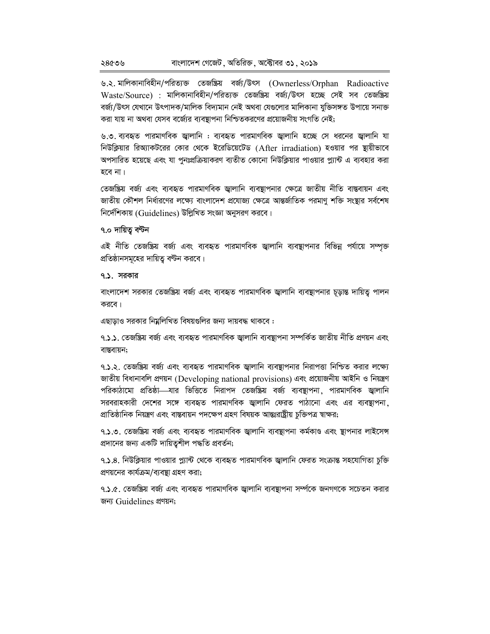৬.২. মালিকানাবিহীন/পরিত্যক্ত তেজষ্ক্রিয় বর্জ/উৎস (Ownerless/Orphan Radioactive Waste/Source) : মালিকানাবিহীন/পরিত্যক্ত তেজষ্ক্রিয় বর্জা/উৎস হচ্ছে সেই সব তেজষ্ক্রিয় বৰ্জ/উৎস যেখানে উৎপাদক/মালিক বিদ্যমান নেই অথবা যেগুলোর মালিকানা যুক্তিসঙ্গত উপায়ে সনাক্ত করা যায় না অথবা যেসব বর্জ্যের ব্যবস্থাপনা নিশ্চিতকরণের প্রয়োজনীয় সংগতি নেই:

৬.৩. ব্যবহৃত পারমাণবিক জ্বালানি : ব্যবহৃত পারমাণবিক জ্বালানি হচ্ছে সে ধরনের জ্বালানি যা নিউক্লিয়ার রিঅ্যাকটরের কোর থেকে ইরেডিয়েটেড (After irradiation) হওয়ার পর স্থায়ীভাবে অপসারিত হয়েছে এবং যা পুনঃপ্রক্রিয়াকরণ ব্যতীত কোনো নিউক্লিয়ার পাওয়ার প্ল্যান্ট এ ব্যবহার করা হবে না।

তেজষ্ক্রিয় বর্জ এবং ব্যবহৃত পারমাণবিক জ্বালানি ব্যবস্থাপনার ক্ষেত্রে জাতীয় নীতি বাস্তবায়ন এবং জাতীয় কৌশল নির্ধারণের লক্ষ্যে বাংলাদেশ প্রযোজ্য ক্ষেত্রে আন্তর্জাতিক পরমাণু শক্তি সংষ্থার সর্বশেষ নির্দেশিকায় (Guidelines) উল্লিখিত সংজ্ঞা অনুসরণ করবে।

### ৭.০ দায়িত বণ্টন

এই নীতি তেজষ্ক্রিয় বর্জ্য এবং ব্যবহৃত পারমাণবিক জ্বালানি ব্যবস্থাপনার বিভিন্ন পর্যায়ে সম্পৃক্ত প্রতিষ্ঠানসমূহের দায়িত্ব বন্টন করবে।

## **9.১. সরকার**

বাংলাদেশ সরকার তেজষ্ক্রিয় বর্জ্য এবং ব্যবহৃত পারমাণবিক জ্বালানি ব্যবস্থাপনার চূড়ান্ত দায়িত্ব পালন করবে।

এছাড়াও সরকার নিয়লিখিত বিষয়গুলির জন্য দায়বদ্ধ থাকবে:

৭.**১.১**. তেজষ্ক্ৰিয় বৰ্জ এবং ব্যবহৃত পারমাণবিক জ্বালানি ব্যবস্থাপনা সম্পর্কিত জাতীয় নীতি প্রণয়ন এবং বান্তবায়ন:

৭.১.২. তেজষ্ক্রিয় বর্জ্য এবং ব্যবহৃত পারমাণবিক জ্বালানি ব্যবস্থাপনার নিরাপত্তা নিশ্চিত করার লক্ষ্যে জাতীয় বিধানাবলি প্রণয়ন (Developing national provisions) এবং প্রয়োজনীয় আইনি ও নিয়ন্ত্রণ পরিকাঠামো প্রতিষ্ঠা—যার ভিত্তিতে নিরাপদ তেজষ্ক্রিয় বর্জ্য ব্যবস্থাপনা, পারমাণবিক জ্বালানি সরবরাহকারী দেশের সঙ্গে ব্যবহৃত পারমাণবিক জ্বালানি ফেরত পাঠানো এবং এর ব্যবস্থাপনা**,** প্ৰাতিষ্ঠানিক নিয়ন্ত্ৰণ এবং বাস্তবায়ন পদক্ষেপ গ্ৰহণ বিষয়ক আন্তঃরাষ্ট্ৰীয় চুক্তিপত্ৰ স্বাক্ষর;

৭.১.৩. তেজষ্ক্রিয় বর্জ্য এবং ব্যবহৃত পারমাণবিক জ্বালানি ব্যবস্থাপনা কর্মকাণ্ড এবং স্থাপনার লাইসেন্স প্রদানের জন্য একটি দায়িতুশীল পদ্ধতি প্রবর্তন;

৭.১.৪. নিউক্লিয়ার পাওয়ার প্ল্যান্ট থেকে ব্যবহৃত পারমাণবিক জ্বালানি ফেরত সংক্রান্ত সহযোগিতা চুক্তি প্রণয়নের কার্যক্রম/ব্যবস্থা গ্রহণ করা;

৭.১.৫. তেজষ্ক্রিয় বর্জ্য এবং ব্যবহৃত পারমাণবিক জ্বালানি ব্যবস্থাপনা সর্ম্পকে জনগণকে সচেতন করার জন্য Guidelines প্ৰণয়ন: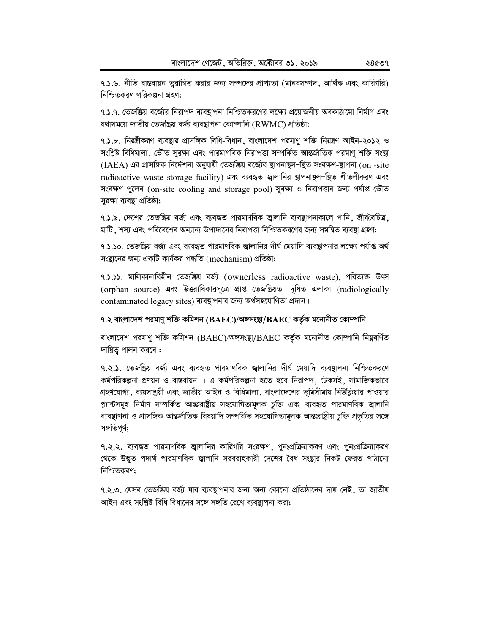৭.১.৬. নীতি বাস্তবায়ন তুরান্বিত করার জন্য সম্পদের প্রাপ্যতা (মানবসম্পদ, আর্থিক এবং কারিগরি) নিশ্চিতকরণ পরিকল্পনা গ্রহণ:

৭.১.৭. তেজষ্ক্রিয় বর্জ্যের নিরাপদ ব্যবস্থাপনা নিশ্চিতকরণের লক্ষ্যে প্রয়োজনীয় অবকাঠামো নির্মাণ এবং যথাসময়ে জাতীয় তেজষ্ক্রিয় বর্জ্য ব্যবস্থাপনা কোম্পানি (RWMC) প্রতিষ্ঠা;

৭.১.৮. নিরন্ত্রীকরণ ব্যবস্থার প্রাসঙ্গিক বিধি-বিধান, বাংলাদেশ পরমাণু শক্তি নিয়ন্ত্রণ আইন-২০১২ ও সংশ্লিষ্ট বিধিমালা, ভৌত সুরক্ষা এবং পারমাণবিক নিরাপত্তা সম্পর্কিত আন্তর্জাতিক পরমাণু শক্তি সংষ্থা (IAEA) এর প্রাসঙ্গিক নির্দেশনা অনুযায়ী তেজষ্ক্রিয় বর্জ্যের স্থাপনাস্থল-স্থিত সংরক্ষণ-স্থাপনা (on -site radioactive waste storage facility) এবং ব্যবহৃত জ্বালানির স্থাপনাম্থল-স্থিত শীতলীকরণ এবং সংরক্ষণ পুলের (on-site cooling and storage pool) সুরক্ষা ও নিরাপত্তার জন্য পর্যাপ্ত ভৌত সুরক্ষা ব্যবস্থা প্রতিষ্ঠা;

৭.১.৯. দেশের তেজষ্ক্রিয় বর্জা এবং ব্যবহৃত পারমাণবিক জ্বালানি ব্যবস্থাপনাকালে পানি, জীববৈচিত্র, মাটি শস্য এবং পরিবেশের অন্যান্য উপাদানের নিরাপত্তা নিশ্চিতকরণের জন্য সমন্বিত ব্যবস্থা গ্রহণ;

৭.১.১০. তেজষ্ক্রিয় বর্জ্য এবং ব্যবহৃত পারমাণবিক জ্বালানির দীর্ঘ মেয়াদি ব্যবস্থাপনার লক্ষ্যে পর্যাপ্ত অর্থ সংষ্টানের জন্য একটি কার্যকর পদ্ধতি (mechanism) প্রতিষ্ঠা;

৭.১.১১. মালিকানাবিহীন তেজষ্ক্রিয় বর্জ (ownerless radioactive waste), পরিত্যক্ত উৎস (orphan source) এবং উত্তরাধিকারসূত্রে প্রাপ্ত তেজষ্ক্রিয়তা দূষিত এলাকা (radiologically contaminated legacy sites) ব্যবস্থাপনার জন্য অর্থসহযোগিতা প্রদান।

## ৭.২ বাংলাদেশ পরমাণু শক্তি কমিশন (BAEC)/অঙ্গসংস্থা/BAEC কর্তৃক মনোনীত কোম্পানি

বাংলাদেশ পরমাণু শক্তি কমিশন (BAEC)/অঙ্গসংস্থা/BAEC কর্তৃক মনোনীত কোম্পানি নিম্নবর্ণিত দায়িত্ব পালন করবে :

৭.২.১. তেজষ্ক্রিয় বর্জা এবং ব্যবহৃত পারমাণবিক জ্বালানির দীর্ঘ মেয়াদি ব্যবস্থাপনা নিশ্চিতকরণে কর্মপরিকল্পনা প্রণয়ন ও বাস্তবায়ন । এ কর্মপরিকল্পনা হতে হবে নিরাপদ, টেকসই, সামাজিকভাবে গ্রহণযোগ্য, ব্যয়সাশ্রয়ী এবং জাতীয় আইন ও বিধিমালা, বাংলাদেশের ভূমিসীমায় নিউক্লিয়ার পাওয়ার প্ল্যান্টসমূহ নিৰ্মাণ সম্পৰ্কিত আন্তঃরাষ্ট্ৰীয় সহযোগিতামূলক চুক্তি এবং ব্যবহৃত পারমাণবিক জ্বালানি ব্যবন্থাপনা ও প্রাসঙ্গিক আন্তর্জাতিক বিষয়াদি সম্পর্কিত সহযোগিতামূলক আন্তঃরাষ্ট্রীয় চুক্তি প্রভৃতির সঙ্গে সঙ্গতিপূর্ণ;

৭.২.২. ব্যবহৃত পারমাণবিক জ্বালানির কারিগরি সংরক্ষণ, পুনঃপ্রক্রিয়াকরণ এবং পুনঃপ্রক্রিয়াকরণ থেকে উদ্ভূত পদার্থ পারমাণবিক জ্বালানি সরবরাহকারী দেশের বৈধ সংস্থার নিকট ফেরত পাঠানো নিশ্চিতকরণ:

৭.২.৩. যেসব তেজষ্ক্রিয় বর্জ্য যার ব্যবস্থাপনার জন্য অন্য কোনো প্রতিষ্ঠানের দায় নেই. তা জাতীয় আইন এবং সংশ্লিষ্ট বিধি বিধানের সঙ্গে সঙ্গতি রেখে ব্যবষ্টাপনা করা;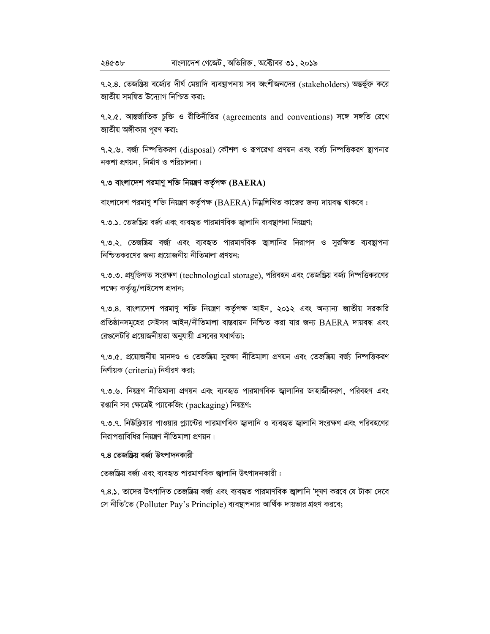৭.২.৪. তেজষ্ক্রিয় বর্জ্যের দীর্ঘ মেয়াদি ব্যবস্থাপনায় সব অংশীজনদের (stakeholders) অন্তর্ভুক্ত করে জাতীয় সমন্বিত উদ্যোগ নিশ্চিত করা;

৭.২.৫. আন্তর্জাতিক চুক্তি ও রীতিনীতির (agreements and conventions) সঙ্গে সঙ্গতি রেখে জাতীয় অঙ্গীকার পূরণ করা;

৭.২.৬. বর্জ নিষ্পত্তিকরণ (disposal) কৌশল ও রূপরেখা প্রণয়ন এবং বর্জ্য নিষ্পত্তিকরণ স্থাপনার  $\frac{1}{2}$ নকশা প্রণয়ন, নির্মাণ ও পরিচালনা।

## **7.3 evsjv‡`k cigvYy kw³ wbqš¿Y KZ…©cÿ (BAERA)**

বাংলাদেশ পরমাণু শক্তি নিয়ন্ত্রণ কর্তৃপক্ষ ( $\operatorname{BAERA}$ ) নিম্নলিখিত কাজের জন্য দায়বদ্ধ থাকবে :

৭.৩.১. তেজষ্ক্রিয় বর্জ্য এবং ব্যবহৃত পারমাণবিক জ্বালানি ব্যবস্থাপনা নিয়ন্ত্রণ;

৭.৩.২. তেজষ্ক্রিয় বর্জ এবং ব্যবহৃত পারমাণবিক জ্বালানির নিরাপদ ও সুরক্ষিত ব্যবস্থাপনা নিশ্চিতকরণের জন্য প্রয়োজনীয় নীতিমালা প্রণয়ন;

৭.৩.৩. প্রযুক্তিগত সংরক্ষণ (technological storage), পরিবহন এবং তেজষ্ক্রিয় বর্জ্য নিষ্পত্তিকরণের লক্ষ্যে কর্তৃত্ব/লাইসেন্স প্রদান;

৭.৩.৪. বাংলাদেশ পরমাণু শক্তি নিয়ন্ত্রণ কর্তৃপক্ষ আইন, ২০১২ এবং অন্যান্য জাতীয় সরকারি প্রতিষ্ঠানসমূহের সেইসব আইন/নীতিমালা বাস্তবায়ন নিশ্চিত করা যার জন্য BAERA দায়বদ্ধ এবং রেগুলেটরি প্রয়োজনীয়তা অনুযায়ী এসবের যথার্থতা;

৭.৩.৫. প্রয়োজনীয় মানদণ্ড ও তেজষ্ক্রিয় সুরক্ষা নীতিমালা প্রণয়ন এবং তেজষ্ক্রিয় বর্জ্য নিষ্পত্তিকরণ নির্ণায়ক (criteria) নির্ধারণ করা;

9.৩.৬. নিয়ন্ত্রণ নীতিমালা প্রণয়ন এবং ব্যবহৃত পারমাণবিক জ্বালানির জাহাজীকরণ, পরিবহণ এবং রপ্তানি সব ক্ষেত্রেই প্যাকেজিং (packaging) নিয়ন্ত্রণ;

৭.৩.৭. নিউক্লিয়ার পাওয়ার প্ল্যান্টের পারমাণবিক জ্বালানি ও ব্যবহৃত জ্বালানি সংরক্ষণ এবং পরিবহণের নিরাপত্তাবিধির নিয়ন্ত্রণ নীতিমালা প্রণয়ন।

# ৭.৪ তেজঙ্ক্সিয় বৰ্জ উৎপাদনকারী

তেজষ্ক্ৰিয় বৰ্জ্য এবং ব্যবহৃত পারমাণবিক জ্বালানি উৎপাদনকারী:

৭.৪.**১**. তাদের উৎপাদিত তেজষ্ক্রিয় বর্জ্য এবং ব্যবহৃত পারমাণবিক জ্বালানি 'দূষণ করবে যে টাকা দেবে সে নীতি'তে (Polluter Pay's Principle) ব্যবস্থাপনার আর্থিক দায়ভার গ্রহণ করবে;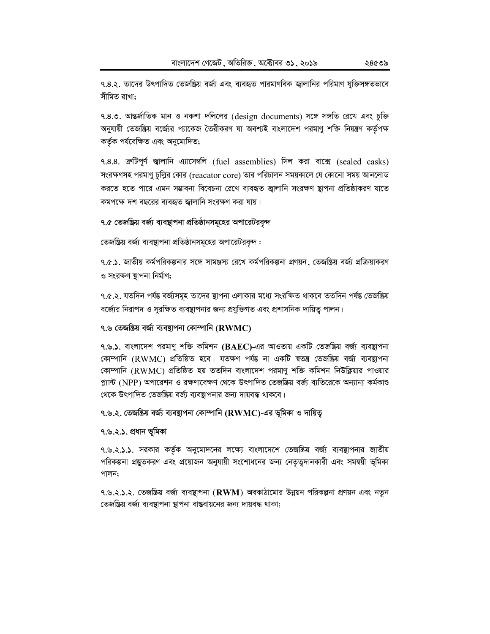৭.৪.৩. আন্তর্জাতিক মান ও নকশা দলিলের (design documents) সঙ্গে সঙ্গতি রেখে এবং চুক্তি অনুযায়ী তেজষ্ক্রিয় বর্জ্যের প্যাকেজ তৈরীকরণ যা অবশ্যই বাংলাদেশ পরমাণু শক্তি নিয়ন্ত্রণ কর্তৃপক্ষ কর্তৃক পর্যবেক্ষিত এবং অনুমোদিত;

৭.৪.৪. ক্ৰটিপূৰ্ণ জ্বালানি এ্যাসেম্বলি (fuel assemblies) সিল করা বাক্সে (sealed casks) সংরক্ষণসহ পরমাণু চুল্লির কোর (reacator core) তার পরিচালন সময়কালে যে কোনো সময় আনলোড করতে হতে পারে এমন সম্ভাবনা বিবেচনা রেখে ব্যবহৃত জ্বালানি সংরক্ষণ ষ্টাপনা প্রতিষ্ঠাকরণ যাতে কমপক্ষে দশ বছরের ব্যবহৃত জ্বালানি সংরক্ষণ করা যায়।

৭.৫ তেজষ্ক্রিয় বর্জ্য ব্যবস্থাপনা প্রতিষ্ঠানসমূহের অপারেটরবৃন্দ

তেজষ্ক্রিয় বর্জ্য ব্যবস্থাপনা প্রতিষ্ঠানসমূহের অপারেটরবৃন্দ :

৭.৫.১. জাতীয় কর্মপরিকল্পনার সঙ্গে সামঞ্জস্য রেখে কর্মপরিকল্পনা প্রণয়ন, তেজস্ক্রিয় বর্জ্য প্রক্রিয়াকরণ ও সংরক্ষণ স্থাপনা নির্মাণ;

৭.৫.২. যতদিন পর্যন্ত বর্জ্যসমূহ তাদের ষ্থাপনা এলাকার মধ্যে সংরক্ষিত থাকবে ততদিন পর্যন্ত তেজষ্ক্রিয় বর্জ্যের নিরাপদ ও সুরক্ষিত ব্যবস্থাপনার জন্য প্রযুক্তিগত এবং প্রশাসনিক দায়িত্ব পালন।

## ৭.৬ তেজষ্ক্রিয় বর্জ্য ব্যবস্থাপনা কোম্পানি ( $\bf{RWMC}$ )

৭.৬.১. বাংলাদেশ পরমাণু শক্তি কমিশন ( $\text{BAEC}$ )-এর আওতায় একটি তেজষ্ক্রিয় বর্জ্য ব্যবস্থাপনা কোম্পানি (RWMC) প্রতিষ্ঠিত হবে। যতক্ষণ পর্যন্ত না একটি ম্বতন্ত্র তেজষ্ক্রিয় বর্জ্য ব্যবস্থাপনা কোম্পানি (RWMC) প্রতিষ্ঠিত হয় ততদিন বাংলাদেশ পরমাণু শক্তি কমিশন নিউক্লিয়ার পাওয়ার প্ল্যান্ট (NPP) অপারেশন ও রক্ষণাবেক্ষণ থেকে উৎপাদিত তেজষ্ক্রিয় বর্জ্য ব্যতিরেকে অন্যান্য কর্মকাণ্ড থেকে উৎপাদিত তেজষ্ক্রিয় বর্জ্য ব্যবস্থাপনার জন্য দায়বদ্ধ থাকবে।

৭.৬.২. তেজষ্ক্রিয় বর্জ্য ব্যবস্থাপনা কোম্পানি ( $\bf{RWMC}$ )-এর ভূমিকা ও দায়িত্ব

### ৭.৬.২.১. প্ৰধান ভূমিকা

৭.৬.২.১.১. সরকার কর্তৃক অনুমোদনের লক্ষ্যে বাংলাদেশে তেজষ্ক্রিয় বর্জ্য ব্যবস্থাপনার জাতীয় পরিকল্পনা প্রন্তুতকরণ এবং প্রয়োজন অনুযায়ী সংশোধনের জন্য নেতৃত্বদানকারী এবং সমন্বয়ী ভূমিকা পালন;

৭.৬.২.১.২. তেজষ্ক্রিয় বর্জ্য ব্যবস্থাপনা (RWM) অবকাঠামোর উন্নয়ন পরিকল্পনা প্রণয়ন এবং নতুন তেজষ্ক্রিয় বর্জ্য ব্যবস্থাপনা স্থাপনা বাস্তবায়নের জন্য দায়বদ্ধ থাকা;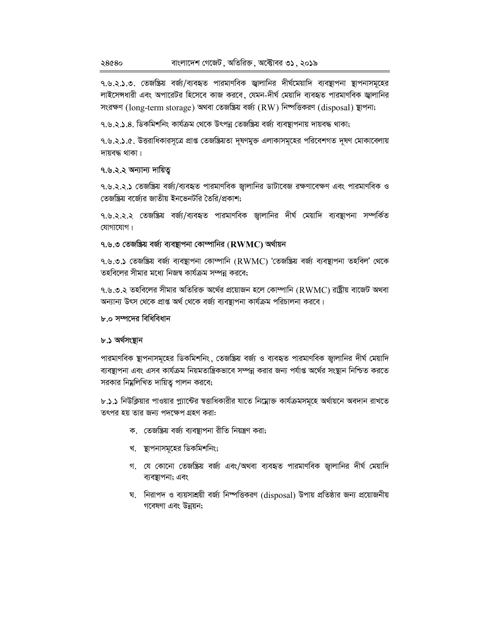৭.৬.২.১.৩. তেজন্ত্রিয় বর্জা/ব্যবহৃত পারমাণবিক জ্বালানির দীর্ঘমেয়াদি ব্যবস্থাপনা স্থাপনাসমূহের লাইসেন্সধারী এবং অপারেটর হিসেবে কাজ করবে, যেমন-দীর্ঘ মেয়াদি ব্যবহৃত পারমাণবিক জ্বালানির সংরক্ষণ (long-term storage) অথবা তেজষ্ক্রিয় বর্জ্য (RW) নিষ্পত্তিকরণ (disposal) স্থাপনা;

৭.৬.২.১.৪. ডিকমিশনিং কার্যক্রম থেকে উৎপন্ন তেজষ্ক্রিয় বর্জ্য ব্যবস্থাপনায় দায়বদ্ধ থাকা;

৭.৬.২.১.৫. উত্তরাধিকারসূত্রে প্রাপ্ত তেজষ্ক্রিয়তা দূষণমুক্ত এলাকাসমূহের পরিবেশগত দূষণ মোকাবেলায় দায়বদ্ধ থাকা।

### ৭.৬.২.২ অন্যান্য দায়িত্ব

৭.৬.২.২.১ তেজষ্ক্রিয় বর্জ্য/ব্যবহৃত পারমাণবিক জ্বালানির ডাটাবেজ রক্ষণাবেক্ষণ এবং পারমাণবিক ও তেজষ্ক্রিয় বর্জ্যের জাতীয় ইনভেনটরি তৈরি/প্রকাশ;

৭.৬.২.২.২ তেজষ্ক্রিয় বর্জ্য/ব্যবহৃত পারমাণবিক জ্বালানির দীর্ঘ মেয়াদি ব্যবস্থাপনা সম্পর্কিত যোগাযোগ।

## ৭.৬.৩ তেজষ্ক্রিয় বর্জ্য ব্যবস্থাপনা কোম্পানির ( $\bf{RWM}$ ) অর্থায়ন

৭.৬.৩.১ তেজষ্ক্রিয় বর্জ্য ব্যবস্থাপনা কোম্পানি (RWMC) 'তেজষ্ক্রিয় বর্জ্য ব্যবস্থাপনা তহবিল' থেকে তহবিলের সীমার মধ্যে নিজম্ব কার্যক্রম সম্পন্ন করবে;

৭.৬.৩.২ তহবিলের সীমার অতিরিক্ত অর্থের প্রয়োজন হলে কোম্পানি (RWMC) রাষ্ট্রীয় বাজেট অথবা অন্যান্য উৎস থেকে প্রাপ্ত অর্থ থেকে বর্জ্য ব্যবস্থাপনা কার্যক্রম পরিচালনা করবে।

# ৮.০ সম্পদের বিধিবিধান

### ৮.১ অর্থসংষ্টান

পারমাণবিক স্থাপনাসমূহের ডিকমিশনিং, তেজষ্ক্রিয় বর্জ্য ও ব্যবহৃত পারমাণবিক জ্বালানির দীর্ঘ মেয়াদি ব্যবস্থাপনা এবং এসব কার্যক্রম নিয়মতান্ত্রিকভাবে সম্পন্ন করার জন্য পর্যাপ্ত অর্থের সংস্থান নিশ্চিত করতে সরকার নিম্নলিখিত দায়িত্ব পালন করবে;

৮.১.১ নিউক্লিয়ার পাওয়ার প্ল্যান্টের স্বত্তাধিকারীর যাতে নিম্নোক্ত কার্যক্রমসমূহে অর্থায়নে অবদান রাখতে তৎপর হয় তার জন্য পদক্ষেপ গ্রহণ করা:

- ক. তেজষ্ক্রিয় বর্জ্য ব্যবস্থাপনা রীতি নিয়ন্ত্রণ করা;
- খ. স্থাপনাসমূহের ডিকমিশনিং;
- গ. যে কোনো তেজষ্ক্রিয় বর্জ্য এবং/অথবা ব্যবহৃত পারমাণবিক জ্বালানির দীর্ঘ মেয়াদি ব্যবস্থাপনা; এবং
- ঘ. নিরাপদ ও ব্যয়সাশ্রয়ী বর্জ্য নিস্পত্তিকরণ (disposal) উপায় প্রতিষ্ঠার জন্য প্রয়োজনীয় গবেষণা এবং উন্নয়ন;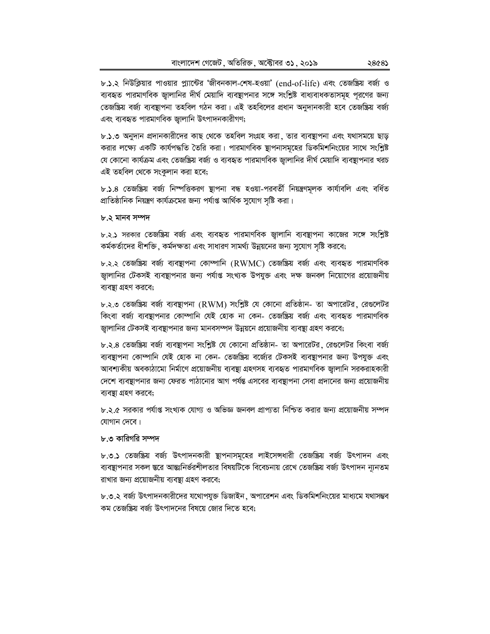৮.১.২ নিউক্লিয়ার পাওয়ার প্ল্যান্টের 'জীবনকাল-শেষ-হওয়া' (end-of-life) এবং তেজষ্ক্রিয় বর্জ্য ও ব্যবহৃত পারমাণবিক জ্বালানির দীর্ঘ মেয়াদি ব্যবস্থাপনার সঙ্গে সংশ্লিষ্ট বাধ্যবাধকতাসমূহ পূরণের জন্য তেজষ্ক্রিয় বর্জ্য ব্যবস্থাপনা তহবিল গঠন করা। এই তহবিলের প্রধান অনুদানকারী হবে তেজষ্ক্রিয় বর্জ্য এবং ব্যবহৃত পারমাণবিক জ্বালানি উৎপাদনকারীগণ;

৮.১.৩ অনুদান প্রদানকারীদের কাছ থেকে তহবিল সংগ্রহ করা, তার ব্যবস্থাপনা এবং যথাসময়ে ছাড় করার লক্ষ্যে একটি কার্যপদ্ধতি তৈরি করা। পারমাণবিক স্থাপনাসমূহের ডিকমিশনিংয়ের সাথে সংশ্লিষ্ট যে কোনো কার্যক্রম এবং তেজষ্ক্রিয় বর্জ্য ও ব্যবহৃত পারমাণবিক জালানির দীর্ঘ মেয়াদি ব্যবস্থাপনার খরচ এই তহবিল থেকে সংকুলান করা হবে;

৮.১.৪ তেজষ্ক্রিয় বর্জ্য নিম্পত্তিকরণ ষ্থাপনা বন্ধ হওয়া-পরবর্তী নিয়ন্ত্রণমূলক কার্যাবলি এবং বর্ধিত প্রাতিষ্ঠানিক নিয়ন্ত্রণ কার্যক্রমের জন্য পর্যাপ্ত আর্থিক সুযোগ সৃষ্টি করা।

#### ৮.২ মানব সম্পদ

৮.২.১ সরকার তেজষ্ক্রিয় বর্জ্য এবং ব্যবহৃত পারমাণবিক জ্বালানি ব্যবস্থাপনা কাজের সঙ্গে সংশ্লিষ্ট কর্মকর্তাদের ধীশক্তি, কর্মদক্ষতা এবং সাধারণ সামর্থ্য উন্নয়নের জন্য সুযোগ সৃষ্টি করবে;

৮.২.২ তেজষ্ক্রিয় বর্জা ব্যবস্থাপনা কোম্পানি (RWMC) তেজষ্ক্রিয় বর্জা এবং ব্যবহৃত পারমাণবিক জ্বালানির টেকসই ব্যবন্থাপনার জন্য পর্যাপ্ত সংখ্যক উপযুক্ত এবং দক্ষ জনবল নিয়োগের প্রয়োজনীয় ব্যবস্থা গ্রহণ করবে;

৮.২.৩ তেজষ্ক্রিয় বর্জা ব্যবস্থাপনা (RWM) সংশ্লিষ্ট যে কোনো প্রতিষ্ঠান- তা অপারেটর, রেগুলেটর কিংবা বর্জ্য ব্যবস্থাপনার কোম্পানি যেই হোক না কেন- তেজষ্ক্রিয় বর্জ্য এবং ব্যবহৃত পারমাণবিক জ্বালানির টেকসই ব্যবস্থাপনার জন্য মানবসম্পদ উন্নয়নে প্রয়োজনীয় ব্যবস্থা গ্রহণ করবে;

৮.২.৪ তেজষ্ক্রিয় বর্জ্য ব্যবস্থাপনা সংশ্লিষ্ট যে কোনো প্রতিষ্ঠান- তা অপারেটর, রেগুলেটর কিংবা বর্জ্য ব্যবন্থাপনা কোম্পানি যেই হোক না কেন- তেজষ্ক্রিয় বর্জ্যের টেকসই ব্যবন্থাপনার জন্য উপযুক্ত এবং আবশ্যকীয় অবকাঠামো নিৰ্মাণে প্ৰয়োজনীয় ব্যবস্থা গ্ৰহণসহ ব্যবহৃত পারমাণবিক জ্বালানি সরকরাহকারী দেশে ব্যবস্থাপনার জন্য ফেরত পাঠানোর আগ পর্যন্ত এসবের ব্যবস্থাপনা সেবা প্রদানের জন্য প্রয়োজনীয় ব্যবস্থা গ্রহণ করবে;

৮.২.৫ সরকার পর্যাপ্ত সংখ্যক যোগ্য ও অভিজ্ঞ জনবল প্রাপ্যতা নিশ্চিত করার জন্য প্রয়োজনীয় সম্পদ যোগান দেবে।

### ৮.৩ কারিগরি সম্পদ

৮.৩.১ তেজষ্ক্রিয় বর্জা উৎপাদনকারী স্থাপনাসমূহের লাইসেন্সধারী তেজষ্ক্রিয় বর্জা উৎপাদন এবং ব্যবস্থাপনার সকল স্তরে আন্তঃনির্ভরশীলতার বিষয়টিকে বিবেচনায় রেখে তেজষ্ক্রিয় বর্জ্য উৎপাদন ন্যূনতম রাখার জন্য প্রয়োজনীয় ব্যবস্থা গ্রহণ করবে;

৮.৩.২ বর্জ্য উৎপাদনকারীদের যথোপযুক্ত ডিজাইন, অপারেশন এবং ডিকমিশনিংয়ের মাধ্যমে যথাসম্ভব কম তেজষ্ক্রিয় বর্জা উৎপাদনের বিষয়ে জোর দিতে হবে: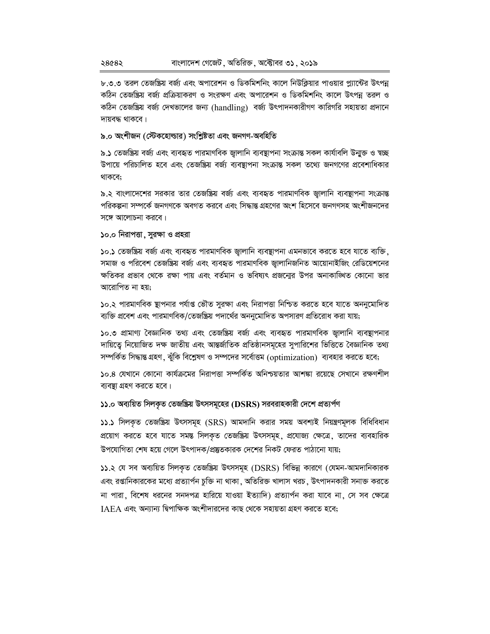৮.৩.৩ তরল তেজষ্ক্রিয় বর্জ্য এবং অপারেশন ও ডিকমিশনিং কালে নিউক্লিয়ার পাওয়ার প্ল্যান্টের উৎপন্ন কঠিন তেজষ্ক্রিয় বর্জ্য প্রক্রিয়াকরণ ও সংরক্ষণ এবং অপারেশন ও ডিকমিশনিং কালে উৎপন্ন তরল ও কঠিন তেজষ্ক্রিয় বর্জ দেখভালের জন্য (handling) বর্জ্য উৎপাদনকারীগণ কারিগরি সহায়তা প্রদানে দায়বদ্ধ থাকবে।

#### **৯.০ অংশীজন (স্টেকহোল্ডার) সংশ্লিষ্টতা এবং জনগণ-অবহিতি**

৯.**১** তেজষ্ক্ৰিয় বৰ্জ্য এবং ব্যবহৃত পারমাণবিক জ্বালানি ব্যবস্থাপনা সংক্ৰান্ত সকল কাৰ্যাবলি উন্মুক্ত ও স্বচ্ছ উপায়ে পরিচালিত হবে এবং তেজষ্ক্রিয় বর্জ্য ব্যবস্থাপনা সংক্রান্ত সকল তথ্যে জনগণের প্রবেশাধিকার থাকবে;

৯.২ বাংলাদেশের সরকার তার তেজষ্ক্রিয় বর্জ্য এবং ব্যবহৃত পারমাণবিক জ্বালানি ব্যবস্থাপনা সংক্রান্ত পরিকল্পনা সম্পর্কে জনগণকে অবগত করবে এবং সিদ্ধান্ত গ্রহণের অংশ হিসেবে জনগণসহ অংশীজনদের সঙ্গে আলোচনা করবে।

**১০.০ নিরাপত্তা, সুরক্ষা ও প্রহরা** 

১০.১ তেজষ্ক্রিয় বর্জ্য এবং ব্যবহৃত পারমাণবিক জ্বালানি ব্যবস্থাপনা এমনভাবে করতে হবে যাতে ব্যক্তি, সমাজ ও পরিবেশ তেজষ্ক্রিয় বর্জ্য এবং ব্যবহৃত পারমাণবিক জালানিজনিত আয়োনাইজিং রেডিয়েশনের ক্ষতিকর প্রভাব থেকে রক্ষা পায় এবং বর্তমান ও ভবিষ্যৎ প্রজন্মের উপর অনাকাঙ্গিত কোনো ভার আরোপিত না হয়;

১০.২ পারমাণবিক স্থাপনার পর্যাপ্ত ভৌত সুরক্ষা এবং নিরাপত্তা নিশ্চিত করতে হবে যাতে অননুমোদিত ব্যক্তি প্রবেশ এবং পারমাণবিক/তেজষ্ক্রিয় পদার্থের অননুমোদিত অপসারণ প্রতিরোধ করা যায়;

১০.৩ প্রামাণ্য বৈজ্ঞানিক তথ্য এবং তেজষ্ক্রিয় বর্জ্য এবং ব্যবহৃত পারমাণবিক জ্বালানি ব্যবস্থাপনার দায়িত্বে নিয়োজিত দক্ষ জাতীয় এবং আন্তর্জাতিক প্রতিষ্ঠানসমূহের সুপারিশের ভিত্তিতে বৈজ্ঞানিক তথ্য সম্পর্কিত সিদ্ধান্ত গ্রহণ, ঝুঁকি বিশ্লেষণ ও সম্পদের সর্বোত্তম (optimization) ব্যবহার করতে হবে;

১০.৪ যেখানে কোনো কাৰ্যক্ৰমের নিরাপত্তা সম্পর্কিত অনিশ্চয়তার আশঙ্কা রয়েছে সেখানে রক্ষণশীল ব্যবস্থা গ্রহণ করতে হবে।

 $1$ ১১.০ অব্যয়িত সিলকৃত তেজষ্ক্রিয় উৎসসমূহের (DSRS) সরবরাহকারী দেশে প্রত্যর্পণ

11.1 সিলকৃত তেজষ্ক্রিয় উৎসসমূহ (SRS) আমদানি করার সময় অবশ্যই নিয়ন্ত্রণমূলক বিধিবিধান প্রয়োগ করতে হবে যাতে সমন্ত সিলকৃত তেজষ্ক্রিয় উৎসসমূহ, প্রযোজ্য ক্ষেত্রে, তাদের ব্যবহারিক উপযোগিতা শেষ হয়ে গেলে উৎপাদক/প্রষ্টতকারক দেশের নিকট ফেরত পাঠানো যায়;

১১.২ যে সব অব্যয়িত সিলকৃত তেজষ্ক্রিয় উৎসসমূহ (DSRS) বিভিন্ন কারণে (যেমন-আমদানিকারক এবং রপ্তানিকারকের মধ্যে প্রত্যার্পন চুক্তি না থাকা ়অতিরিক্ত খালাস খরচ ়উৎপাদনকারী সনাক্ত করতে না পারা, বিশেষ ধরনের সনদপত্র হারিয়ে যাওয়া ইত্যাদি) প্রত্যার্পন করা যাবে না, সে সব ক্ষেত্রে  $IABA$  এবং অন্যান্য দ্বিপাক্ষিক অংশীদারদের কাছ থেকে সহায়তা গ্রহণ করতে হবে;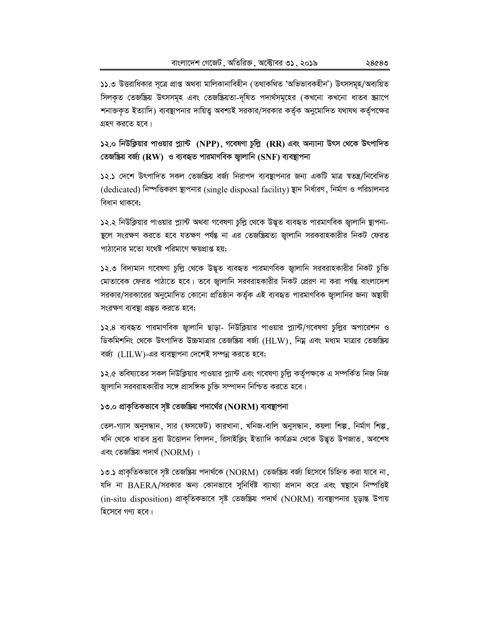১১.৩ উত্তরাধিকার সূত্রে প্রাপ্ত অথবা মালিকানাবিহীন (তথাকথিত 'অভিভাবকহীন') উৎসসমূহ/অব্যয়িত সিলকৃত তেজষ্ক্রিয় উৎসসমূহ এবং তেজষ্ক্রিয়তা-দূষিত পদার্থসমূহের (কখনো কখনো ধাতব স্ক্র্যাপে শনাক্তকৃত ইত্যাদি) ব্যবন্থাপনার দায়িত্ব অবশ্যই সরকার/সরকার কর্তৃক অনুমোদিত যথাযথ কর্তৃপক্ষের গ্রহণ করতে হবে।

১২.০ নিউক্লিয়ার পাওয়ার প্ল্যান্ট (NPP), গবেষণা চুল্লি (RR) এবং অন্যান্য উৎস থেকে উৎপাদিত তেজষ্ক্রিয় বর্জ্য (RW) ও ব্যবহৃত পারমাণবিক জ্বালানি (SNF) ব্যবস্থাপনা

১২.১ দেশে উৎপাদিত সকল তেজষ্ক্রিয় বর্জ্য নিরাপদ ব্যবস্থাপনার জন্য একটি মাত্র স্বতন্ত্র/নিবেদিত (dedicated) নিম্পত্তিকরণ স্থাপনার (single disposal facility) স্থান নির্ধারণ, নির্মাণ ও পরিচালনার বিধান থাকবে;

১২.২ নিউক্লিয়ার পাওয়ার প্ল্যান্ট অথবা গবেষণা চুল্লি থেকে উদ্ভূত ব্যবহৃত পারমাণবিক জ্বালানি স্থাপনা-ন্থলে সংরক্ষণ করতে হবে যতক্ষণ পর্যন্ত না এর তেজষ্ক্রিয়তা জ্বালানি সরকরাহকারীর নিকট ফেরত পাঠানোর মতো যথেষ্ট পরিমাণে ক্ষয়প্রাপ্ত হয়;

১২.৩ বিদ্যমান গবেষণা চুল্লি থেকে উদ্ভূত ব্যবহৃত পারমাণবিক জ্বালানি সরবরাহকারীর নিকট চুক্তি মোতাবেক ফেরত পাঠাতে হবে। তবে জ্বালানি সরবরাহকারীর নিকট প্রেরণ না করা পর্যন্ত বাংলাদেশ সরকার/সরকারের অনুমোদিত কোনো প্রতিষ্ঠান কর্তৃক এই ব্যবহৃত পারমাণবিক জ্বালানির জন্য অন্থায়ী সংরক্ষণ ব্যবস্থা প্রস্তুত করতে হবে;

১২.৪ ব্যবহৃত পারমাণবিক জ্বালানি ছাড়া- নিউক্লিয়ার পাওয়ার প্ল্যান্ট/গবেষণা চুল্লির অপারেশন ও ডিকমিশনিং থেকে উৎপাদিত উচ্চমাত্রার তেজষ্ক্রিয় বর্জ (HLW), নিম্ন এবং মধ্যম মাত্রার তেজষ্ক্রিয় বর্জ্য (LILW)-এর ব্যবস্থাপনা দেশেই সম্পন্ন করতে হবে;

১২.৫ ভবিষ্যতের সকল নিউক্লিয়ার পাওয়ার প্ল্যান্ট এবং গবেষণা চুল্লি কর্তৃপক্ষকে এ সম্পর্কিত নিজ নিজ জ্বালানি সরবরাহকারীর সঙ্গে প্রাসঙ্গিক চুক্তি সম্পাদন নিশ্চিত করতে হবে।

# ১৩.০ প্রাকৃতিকভাবে সৃষ্ট তেজষ্ক্রিয় পদার্থের (NORM) ব্যবস্থাপনা

তেল-গ্যাস অনুসন্ধান, সার (ফসফেট) কারখানা, খনিজ-বালি অনুসন্ধান, কয়লা শিল্প, নির্মাণ শিল্প, খনি থেকে ধাতব দ্রব্য উত্তোলন বিগলন, রিসাইক্লিং ইত্যাদি কার্যক্রম থেকে উদ্ভূত উপজাত, অবশেষ এবং তেজষ্ক্রিয় পদার্থ ( $NORM$ ) ।

১৩.১ প্রাকৃতিকভাবে সৃষ্ট তেজষ্ক্রিয় পদার্থকে (NORM) তেজষ্ক্রিয় বর্জ্য হিসেবে চিহ্নিত করা যাবে না, যদি না BAERA/সরকার অন্য কোনভাবে সুনির্ধিষ্ট ব্যাখ্যা প্রদান করে এবং স্বষ্থানে নিম্পত্তিই (in-situ disposition) প্রাকৃতিকভাবে সৃষ্ট তেজষ্ক্রিয় পদার্থ (NORM) ব্যবস্থাপনার চূড়ান্ত উপায় হিসেবে গণ্য হবে।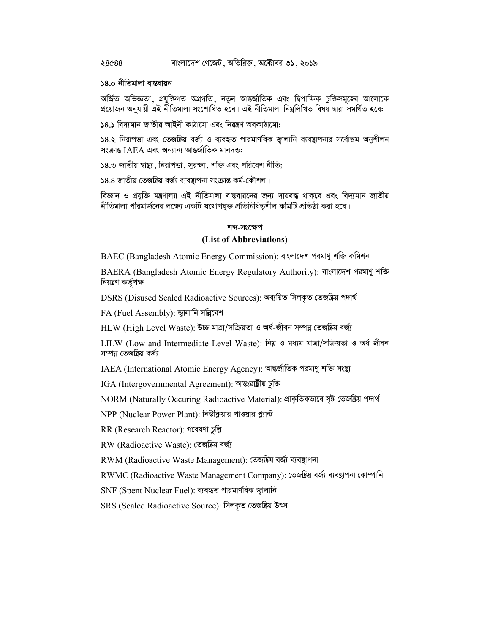#### ১৪.০ নীতিমালা বান্তবায়ন

অৰ্জিত অভিজ্ঞতা, প্ৰযুক্তিগত অগ্ৰগতি, নতুন আন্তৰ্জাতিক এবং দ্বিপাক্ষিক চক্তিসমূহের আলোকে প্ৰয়োজন অনুযায়ী এই নীতিমালা সংশোধিত হবে। এই নীতিমালা নিম্নলিখিত বিষয় দ্বারা সমর্থিত হবে:

১৪.১ বিদ্যমান জাতীয় আইনী কাঠামো এবং নিয়ন্ত্রণ অবকাঠামো;

১৪.২ নিরাপত্তা এবং তেজষ্ক্রিয় বর্জ্য ও ব্যবহৃত পারমাণবিক জালানি ব্যবস্থাপনার সর্বোত্তম অনুশীলন সংক্ৰান্ত IAEA এবং অন্যান্য আন্তৰ্জাতিক মানদন্ড:

১৪.৩ জাতীয় স্বাষ্থ্য, নিরাপত্তা, সুরক্ষা, শক্তি এবং পরিবেশ নীতি;

১৪.৪ জাতীয় তেজষ্ক্রিয় বর্জ্য ব্যবস্থাপনা সংক্রান্ত কর্ম-কৌশল।

বিজ্ঞান ও প্রযুক্তি মন্ত্রণালয় এই নীতিমালা বাস্তবায়নের জন্য দায়বদ্ধ থাকবে এবং বিদ্যমান জাতীয় নীতিমালা পরিমার্জনের লক্ষ্যে একটি যথোপযুক্ত প্রতিনিধিত্বশীল কমিটি প্রতিষ্ঠা করা হবে।

#### শব্দ-সংক্ষেপ

### (List of Abbreviations)

BAEC (Bangladesh Atomic Energy Commission): বাংলাদেশ পরমাণু শক্তি কমিশন

BAERA (Bangladesh Atomic Energy Regulatory Authority): বাংলাদেশ পরমাণু শক্তি নিয়ন্ত্ৰণ কৰ্তৃপক্ষ

DSRS (Disused Sealed Radioactive Sources): অব্যয়িত সিলকৃত তেজষ্ক্ৰিয় পদাৰ্থ

FA (Fuel Assembly): জ্বালানি সন্নিবেশ

HLW (High Level Waste): উচ্চ মাত্রা/সক্রিয়তা ও অর্ধ-জীবন সম্পন্ন তেজষ্ক্রিয় বর্জা

LILW (Low and Intermediate Level Waste): নিম্ন ও মধ্যম মাত্রা/সক্রিয়তা ও অর্ধ-জীবন সম্পন্ন তেজষ্ক্ৰিয় বৰ্জ্য

IAEA (International Atomic Energy Agency): আন্তর্জাতিক পরমাণু শক্তি সংস্থা

IGA (Intergovernmental Agreement): আন্তঃরাষ্ট্রীয় চুক্তি

NORM (Naturally Occuring Radioactive Material): প্রাকৃতিকভাবে সৃষ্ট তেজষ্ক্রিয় পদার্থ

NPP (Nuclear Power Plant): নিউক্লিয়ার পাওয়ার প্ল্যান্ট

RR (Research Reactor): গবেষণা চুল্লি

RW (Radioactive Waste): তেজষ্ক্ৰিয় বৰ্জ্য

RWM (Radioactive Waste Management): তেজষ্ক্ৰিয় বৰ্জ্য ব্যবস্থাপনা

RWMC (Radioactive Waste Management Company): তেজষ্ক্ৰিয় বৰ্জ্য ব্যবস্থাপনা কোম্পানি

SNF (Spent Nuclear Fuel): ব্যবহৃত পারমাণবিক জ্বালানি

SRS (Sealed Radioactive Source): সিলকৃত তেজষ্ক্ৰিয় উৎস

28088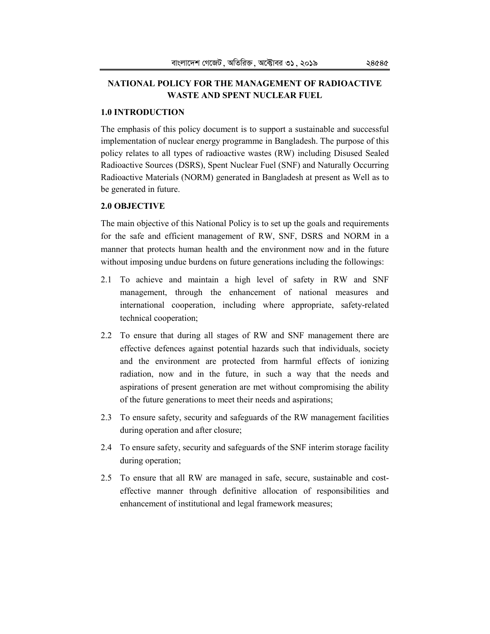# **NATIONAL POLICY FOR THE MANAGEMENT OF RADIOACTIVE WASTE AND SPENT NUCLEAR FUEL**

#### **1.0 INTRODUCTION**

The emphasis of this policy document is to support a sustainable and successful implementation of nuclear energy programme in Bangladesh. The purpose of this policy relates to all types of radioactive wastes (RW) including Disused Sealed Radioactive Sources (DSRS), Spent Nuclear Fuel (SNF) and Naturally Occurring Radioactive Materials (NORM) generated in Bangladesh at present as Well as to be generated in future.

#### **2.0 OBJECTIVE**

The main objective of this National Policy is to set up the goals and requirements for the safe and efficient management of RW, SNF, DSRS and NORM in a manner that protects human health and the environment now and in the future without imposing undue burdens on future generations including the followings:

- 2.1 To achieve and maintain a high level of safety in RW and SNF management, through the enhancement of national measures and international cooperation, including where appropriate, safety-related technical cooperation;
- 2.2 To ensure that during all stages of RW and SNF management there are effective defences against potential hazards such that individuals, society and the environment are protected from harmful effects of ionizing radiation, now and in the future, in such a way that the needs and aspirations of present generation are met without compromising the ability of the future generations to meet their needs and aspirations;
- 2.3 To ensure safety, security and safeguards of the RW management facilities during operation and after closure;
- 2.4 To ensure safety, security and safeguards of the SNF interim storage facility during operation;
- 2.5 To ensure that all RW are managed in safe, secure, sustainable and costeffective manner through definitive allocation of responsibilities and enhancement of institutional and legal framework measures;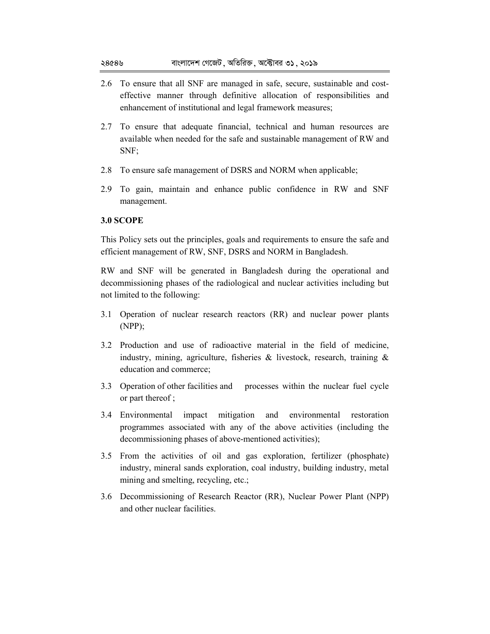- 2.6 To ensure that all SNF are managed in safe, secure, sustainable and costeffective manner through definitive allocation of responsibilities and enhancement of institutional and legal framework measures;
- 2.7 To ensure that adequate financial, technical and human resources are available when needed for the safe and sustainable management of RW and SNF;
- 2.8 To ensure safe management of DSRS and NORM when applicable;
- 2.9 To gain, maintain and enhance public confidence in RW and SNF management.

### **3.0 SCOPE**

This Policy sets out the principles, goals and requirements to ensure the safe and efficient management of RW, SNF, DSRS and NORM in Bangladesh.

RW and SNF will be generated in Bangladesh during the operational and decommissioning phases of the radiological and nuclear activities including but not limited to the following:

- 3.1 Operation of nuclear research reactors (RR) and nuclear power plants (NPP);
- 3.2 Production and use of radioactive material in the field of medicine, industry, mining, agriculture, fisheries  $\&$  livestock, research, training  $\&$ education and commerce;
- 3.3 Operation of other facilities and processes within the nuclear fuel cycle or part thereof ;
- 3.4 Environmental impact mitigation and environmental restoration programmes associated with any of the above activities (including the decommissioning phases of above-mentioned activities);
- 3.5 From the activities of oil and gas exploration, fertilizer (phosphate) industry, mineral sands exploration, coal industry, building industry, metal mining and smelting, recycling, etc.;
- 3.6 Decommissioning of Research Reactor (RR), Nuclear Power Plant (NPP) and other nuclear facilities.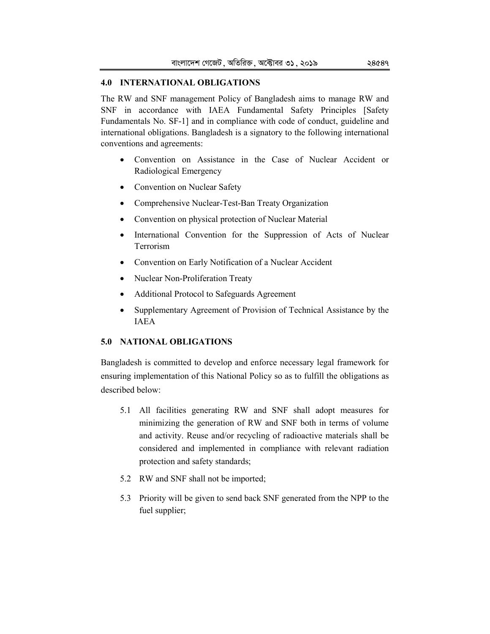### **4.0 INTERNATIONAL OBLIGATIONS**

The RW and SNF management Policy of Bangladesh aims to manage RW and SNF in accordance with IAEA Fundamental Safety Principles [Safety Fundamentals No. SF-1] and in compliance with code of conduct, guideline and international obligations. Bangladesh is a signatory to the following international conventions and agreements:

- Convention on Assistance in the Case of Nuclear Accident or Radiological Emergency
- Convention on Nuclear Safety
- Comprehensive Nuclear-Test-Ban Treaty Organization
- Convention on physical protection of Nuclear Material
- International Convention for the Suppression of Acts of Nuclear Terrorism
- Convention on Early Notification of a Nuclear Accident
- Nuclear Non-Proliferation Treaty
- Additional Protocol to Safeguards Agreement
- Supplementary Agreement of Provision of Technical Assistance by the IAEA

# **5.0 NATIONAL OBLIGATIONS**

Bangladesh is committed to develop and enforce necessary legal framework for ensuring implementation of this National Policy so as to fulfill the obligations as described below:

- 5.1 All facilities generating RW and SNF shall adopt measures for minimizing the generation of RW and SNF both in terms of volume and activity. Reuse and/or recycling of radioactive materials shall be considered and implemented in compliance with relevant radiation protection and safety standards;
- 5.2 RW and SNF shall not be imported;
- 5.3 Priority will be given to send back SNF generated from the NPP to the fuel supplier;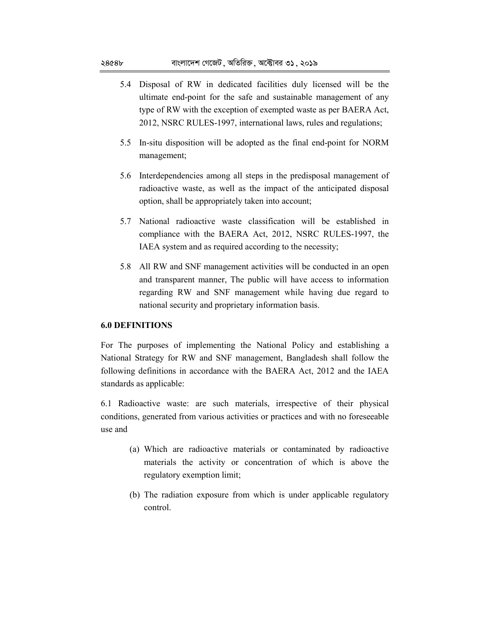- 5.4 Disposal of RW in dedicated facilities duly licensed will be the ultimate end-point for the safe and sustainable management of any type of RW with the exception of exempted waste as per BAERA Act, 2012, NSRC RULES-1997, international laws, rules and regulations;
- 5.5 In-situ disposition will be adopted as the final end-point for NORM management;
- 5.6 Interdependencies among all steps in the predisposal management of radioactive waste, as well as the impact of the anticipated disposal option, shall be appropriately taken into account;
- 5.7 National radioactive waste classification will be established in compliance with the BAERA Act, 2012, NSRC RULES-1997, the IAEA system and as required according to the necessity;
- 5.8 All RW and SNF management activities will be conducted in an open and transparent manner, The public will have access to information regarding RW and SNF management while having due regard to national security and proprietary information basis.

#### **6.0 DEFINITIONS**

For The purposes of implementing the National Policy and establishing a National Strategy for RW and SNF management, Bangladesh shall follow the following definitions in accordance with the BAERA Act, 2012 and the IAEA standards as applicable:

6.1 Radioactive waste: are such materials, irrespective of their physical conditions, generated from various activities or practices and with no foreseeable use and

- (a) Which are radioactive materials or contaminated by radioactive materials the activity or concentration of which is above the regulatory exemption limit;
- (b) The radiation exposure from which is under applicable regulatory control.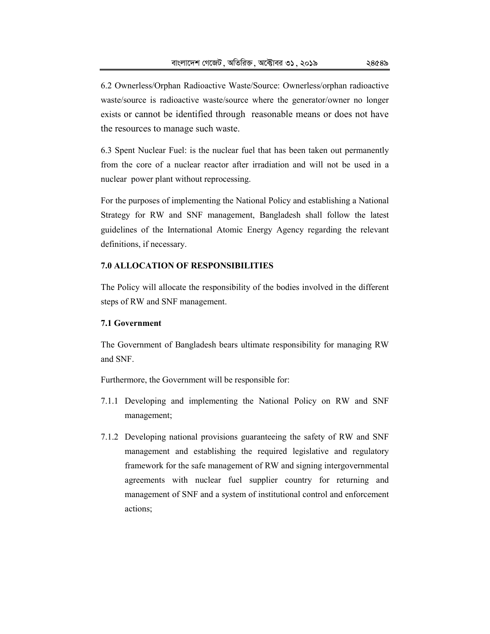6.2 Ownerless/Orphan Radioactive Waste/Source: Ownerless/orphan radioactive waste/source is radioactive waste/source where the generator/owner no longer exists or cannot be identified through reasonable means or does not have the resources to manage such waste.

6.3 Spent Nuclear Fuel: is the nuclear fuel that has been taken out permanently from the core of a nuclear reactor after irradiation and will not be used in a nuclear power plant without reprocessing.

For the purposes of implementing the National Policy and establishing a National Strategy for RW and SNF management, Bangladesh shall follow the latest guidelines of the International Atomic Energy Agency regarding the relevant definitions, if necessary.

## **7.0 ALLOCATION OF RESPONSIBILITIES**

The Policy will allocate the responsibility of the bodies involved in the different steps of RW and SNF management.

### **7.1 Government**

The Government of Bangladesh bears ultimate responsibility for managing RW and SNF.

Furthermore, the Government will be responsible for:

- 7.1.1 Developing and implementing the National Policy on RW and SNF management;
- 7.1.2 Developing national provisions guaranteeing the safety of RW and SNF management and establishing the required legislative and regulatory framework for the safe management of RW and signing intergovernmental agreements with nuclear fuel supplier country for returning and management of SNF and a system of institutional control and enforcement actions;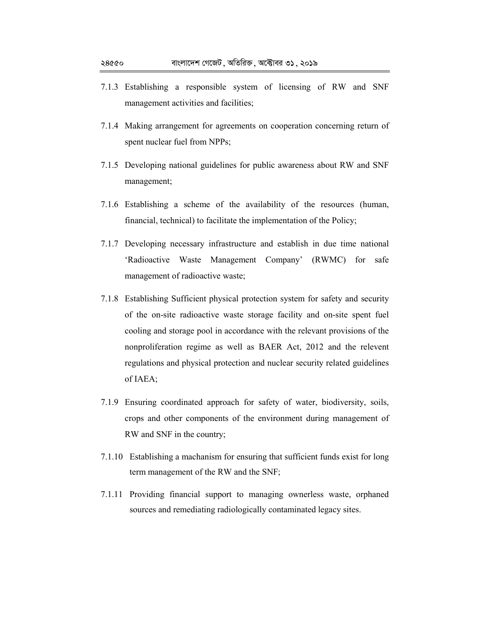- 7.1.3 Establishing a responsible system of licensing of RW and SNF management activities and facilities;
- 7.1.4 Making arrangement for agreements on cooperation concerning return of spent nuclear fuel from NPPs;
- 7.1.5 Developing national guidelines for public awareness about RW and SNF management;
- 7.1.6 Establishing a scheme of the availability of the resources (human, financial, technical) to facilitate the implementation of the Policy;
- 7.1.7 Developing necessary infrastructure and establish in due time national 'Radioactive Waste Management Company' (RWMC) for safe management of radioactive waste;
- 7.1.8 Establishing Sufficient physical protection system for safety and security of the on-site radioactive waste storage facility and on-site spent fuel cooling and storage pool in accordance with the relevant provisions of the nonproliferation regime as well as BAER Act, 2012 and the relevent regulations and physical protection and nuclear security related guidelines of IAEA;
- 7.1.9 Ensuring coordinated approach for safety of water, biodiversity, soils, crops and other components of the environment during management of RW and SNF in the country;
- 7.1.10 Establishing a machanism for ensuring that sufficient funds exist for long term management of the RW and the SNF;
- 7.1.11 Providing financial support to managing ownerless waste, orphaned sources and remediating radiologically contaminated legacy sites.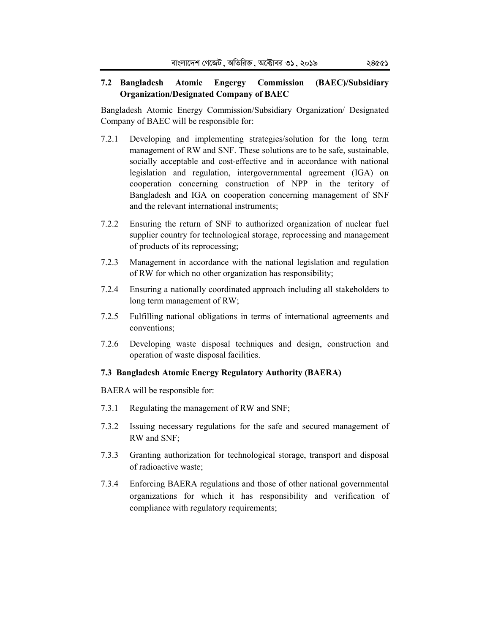## **7.2 Bangladesh Atomic Engergy Commission (BAEC)/Subsidiary Organization/Designated Company of BAEC**

Bangladesh Atomic Energy Commission/Subsidiary Organization/ Designated Company of BAEC will be responsible for:

- 7.2.1 Developing and implementing strategies/solution for the long term management of RW and SNF. These solutions are to be safe, sustainable, socially acceptable and cost-effective and in accordance with national legislation and regulation, intergovernmental agreement (IGA) on cooperation concerning construction of NPP in the teritory of Bangladesh and IGA on cooperation concerning management of SNF and the relevant international instruments;
- 7.2.2 Ensuring the return of SNF to authorized organization of nuclear fuel supplier country for technological storage, reprocessing and management of products of its reprocessing;
- 7.2.3 Management in accordance with the national legislation and regulation of RW for which no other organization has responsibility;
- 7.2.4 Ensuring a nationally coordinated approach including all stakeholders to long term management of RW;
- 7.2.5 Fulfilling national obligations in terms of international agreements and conventions;
- 7.2.6 Developing waste disposal techniques and design, construction and operation of waste disposal facilities.

### **7.3 Bangladesh Atomic Energy Regulatory Authority (BAERA)**

BAERA will be responsible for:

- 7.3.1 Regulating the management of RW and SNF;
- 7.3.2 Issuing necessary regulations for the safe and secured management of RW and SNF;
- 7.3.3 Granting authorization for technological storage, transport and disposal of radioactive waste;
- 7.3.4 Enforcing BAERA regulations and those of other national governmental organizations for which it has responsibility and verification of compliance with regulatory requirements;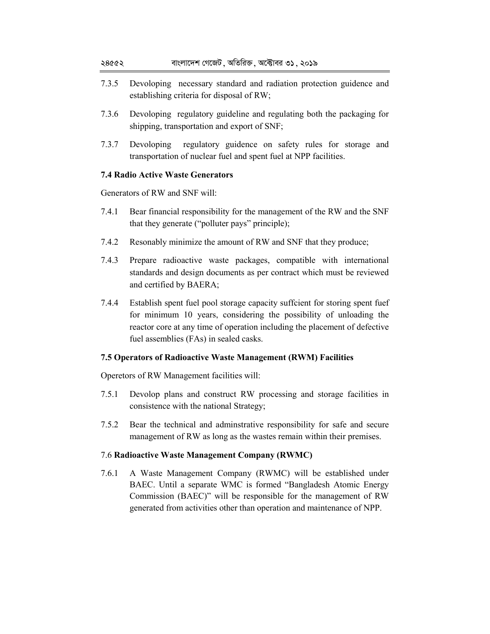- 7.3.5 Devoloping necessary standard and radiation protection guidence and establishing criteria for disposal of RW;
- 7.3.6 Devoloping regulatory guideline and regulating both the packaging for shipping, transportation and export of SNF;
- 7.3.7 Devoloping regulatory guidence on safety rules for storage and transportation of nuclear fuel and spent fuel at NPP facilities.

### **7.4 Radio Active Waste Generators**

Generators of RW and SNF will:

- 7.4.1 Bear financial responsibility for the management of the RW and the SNF that they generate ("polluter pays" principle);
- 7.4.2 Resonably minimize the amount of RW and SNF that they produce;
- 7.4.3 Prepare radioactive waste packages, compatible with international standards and design documents as per contract which must be reviewed and certified by BAERA;
- 7.4.4 Establish spent fuel pool storage capacity suffcient for storing spent fuef for minimum 10 years, considering the possibility of unloading the reactor core at any time of operation including the placement of defective fuel assemblies (FAs) in sealed casks.

## **7.5 Operators of Radioactive Waste Management (RWM) Facilities**

Operetors of RW Management facilities will:

- 7.5.1 Devolop plans and construct RW processing and storage facilities in consistence with the national Strategy;
- 7.5.2 Bear the technical and adminstrative responsibility for safe and secure management of RW as long as the wastes remain within their premises.

### 7.6 **Radioactive Waste Management Company (RWMC)**

7.6.1 A Waste Management Company (RWMC) will be established under BAEC. Until a separate WMC is formed "Bangladesh Atomic Energy Commission (BAEC)" will be responsible for the management of RW generated from activities other than operation and maintenance of NPP.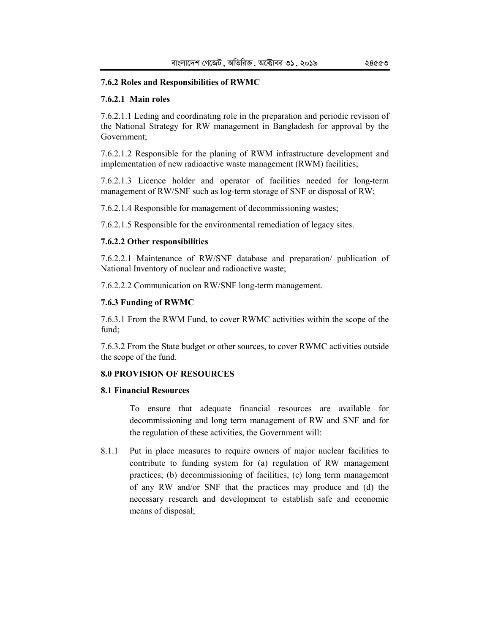#### **7.6.2 Roles and Responsibilities of RWMC**

#### **7.6.2.1 Main roles**

7.6.2.1.1 Leding and coordinating role in the preparation and periodic revision of the National Strategy for RW management in Bangladesh for approval by the Government;

7.6.2.1.2 Responsible for the planing of RWM infrastructure development and implementation of new radioactive waste management (RWM) facilities;

7.6.2.1.3 Licence holder and operator of facilities needed for long-term management of RW/SNF such as log-term storage of SNF or disposal of RW;

7.6.2.1.4 Responsible for management of decommissioning wastes;

7.6.2.1.5 Responsible for the environmental remediation of legacy sites.

#### **7.6.2.2 Other responsibilities**

7.6.2.2.1 Maintenance of RW/SNF database and preparation/ publication of National Inventory of nuclear and radioactive waste;

7.6.2.2.2 Communication on RW/SNF long-term management.

### **7.6.3 Funding of RWMC**

7.6.3.1 From the RWM Fund, to cover RWMC activities within the scope of the fund;

7.6.3.2 From the State budget or other sources, to cover RWMC activities outside the scope of the fund.

#### **8.0 PROVISION OF RESOURCES**

### **8.1 Financial Resources**

 To ensure that adequate financial resources are available for decommissioning and long term management of RW and SNF and for the regulation of these activities, the Government will:

8.1.1 Put in place measures to require owners of major nuclear facilities to contribute to funding system for (a) regulation of RW management practices; (b) decommissioning of facilities, (c) long term management of any RW and/or SNF that the practices may produce and (d) the necessary research and development to establish safe and economic means of disposal;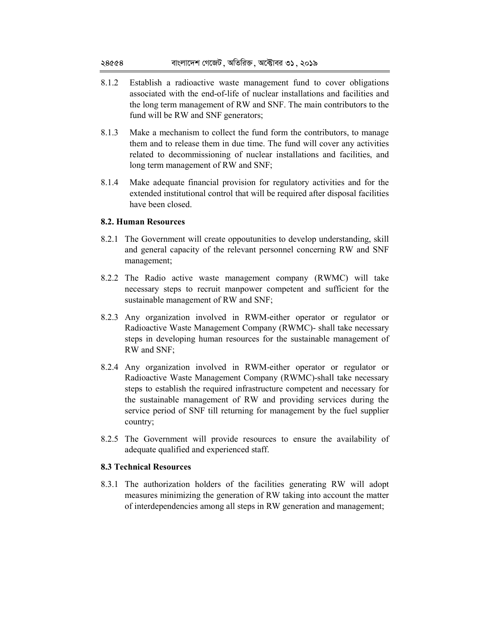- 8.1.2 Establish a radioactive waste management fund to cover obligations associated with the end-of-life of nuclear installations and facilities and the long term management of RW and SNF. The main contributors to the fund will be RW and SNF generators;
- 8.1.3 Make a mechanism to collect the fund form the contributors, to manage them and to release them in due time. The fund will cover any activities related to decommissioning of nuclear installations and facilities, and long term management of RW and SNF;
- 8.1.4 Make adequate financial provision for regulatory activities and for the extended institutional control that will be required after disposal facilities have been closed.

### **8.2. Human Resources**

- 8.2.1 The Government will create oppoutunities to develop understanding, skill and general capacity of the relevant personnel concerning RW and SNF management;
- 8.2.2 The Radio active waste management company (RWMC) will take necessary steps to recruit manpower competent and sufficient for the sustainable management of RW and SNF;
- 8.2.3 Any organization involved in RWM-either operator or regulator or Radioactive Waste Management Company (RWMC)- shall take necessary steps in developing human resources for the sustainable management of RW and SNF;
- 8.2.4 Any organization involved in RWM-either operator or regulator or Radioactive Waste Management Company (RWMC)-shall take necessary steps to establish the required infrastructure competent and necessary for the sustainable management of RW and providing services during the service period of SNF till returning for management by the fuel supplier country;
- 8.2.5 The Government will provide resources to ensure the availability of adequate qualified and experienced staff.

### **8.3 Technical Resources**

8.3.1 The authorization holders of the facilities generating RW will adopt measures minimizing the generation of RW taking into account the matter of interdependencies among all steps in RW generation and management;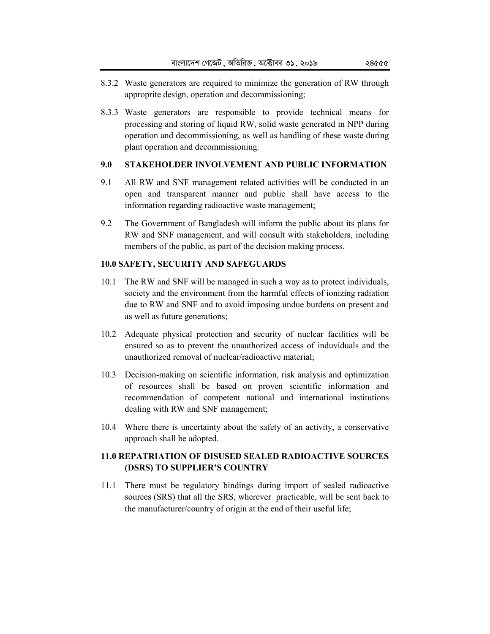- 8.3.2 Waste generators are required to minimize the generation of RW through approprite design, operation and decommissioning;
- 8.3.3 Waste generators are responsible to provide technical means for processing and storing of liquid RW, solid waste generated in NPP during operation and decommissioning, as well as handling of these waste during plant operation and decommissioning.

## **9.0 STAKEHOLDER INVOLVEMENT AND PUBLIC INFORMATION**

- 9.1 All RW and SNF management related activities will be conducted in an open and transparent manner and public shall have access to the information regarding radioactive waste management;
- 9.2 The Government of Bangladesh will inform the public about its plans for RW and SNF management, and will consult with stakeholders, including members of the public, as part of the decision making process.

# **10.0 SAFETY, SECURITY AND SAFEGUARDS**

- 10.1 The RW and SNF will be managed in such a way as to protect individuals, society and the environment from the harmful effects of ionizing radiation due to RW and SNF and to avoid imposing undue burdens on present and as well as future generations;
- 10.2 Adequate physical protection and security of nuclear facilities will be ensured so as to prevent the unauthorized access of induviduals and the unauthorized removal of nuclear/radioactive material;
- 10.3 Decision-making on scientific information, risk analysis and optimization of resources shall be based on proven scientific information and recommendation of competent national and international institutions dealing with RW and SNF management;
- 10.4 Where there is uncertainty about the safety of an activity, a conservative approach shall be adopted.

# **11.0 REPATRIATION OF DISUSED SEALED RADIOACTIVE SOURCES (DSRS) TO SUPPLIER'S COUNTRY**

11.1 There must be regulatory bindings during import of sealed radioactive sources (SRS) that all the SRS, wherever practicable, will be sent back to the manufacturer/country of origin at the end of their useful life;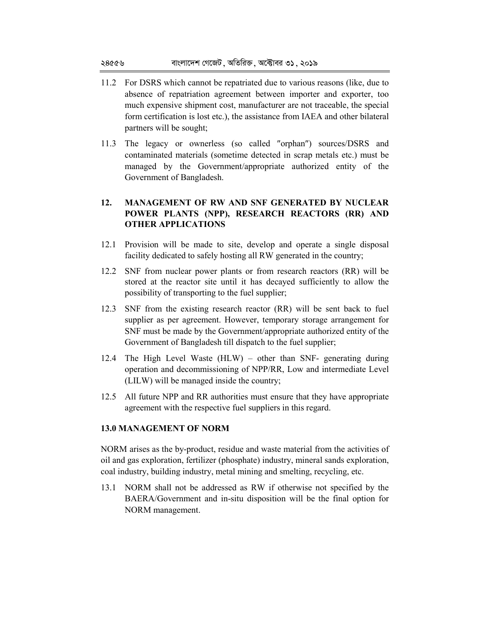- 11.2 For DSRS which cannot be repatriated due to various reasons (like, due to absence of repatriation agreement between importer and exporter, too much expensive shipment cost, manufacturer are not traceable, the special form certification is lost etc.), the assistance from IAEA and other bilateral partners will be sought;
- 11.3 The legacy or ownerless (so called ″orphan″) sources/DSRS and contaminated materials (sometime detected in scrap metals etc.) must be managed by the Government/appropriate authorized entity of the Government of Bangladesh.

# **12. MANAGEMENT OF RW AND SNF GENERATED BY NUCLEAR POWER PLANTS (NPP), RESEARCH REACTORS (RR) AND OTHER APPLICATIONS**

- 12.1 Provision will be made to site, develop and operate a single disposal facility dedicated to safely hosting all RW generated in the country;
- 12.2 SNF from nuclear power plants or from research reactors (RR) will be stored at the reactor site until it has decayed sufficiently to allow the possibility of transporting to the fuel supplier;
- 12.3 SNF from the existing research reactor (RR) will be sent back to fuel supplier as per agreement. However, temporary storage arrangement for SNF must be made by the Government/appropriate authorized entity of the Government of Bangladesh till dispatch to the fuel supplier;
- 12.4 The High Level Waste (HLW) other than SNF- generating during operation and decommissioning of NPP/RR, Low and intermediate Level (LILW) will be managed inside the country;
- 12.5 All future NPP and RR authorities must ensure that they have appropriate agreement with the respective fuel suppliers in this regard.

# **13.0 MANAGEMENT OF NORM**

NORM arises as the by-product, residue and waste material from the activities of oil and gas exploration, fertilizer (phosphate) industry, mineral sands exploration, coal industry, building industry, metal mining and smelting, recycling, etc.

13.1 NORM shall not be addressed as RW if otherwise not specified by the BAERA/Government and in-situ disposition will be the final option for NORM management.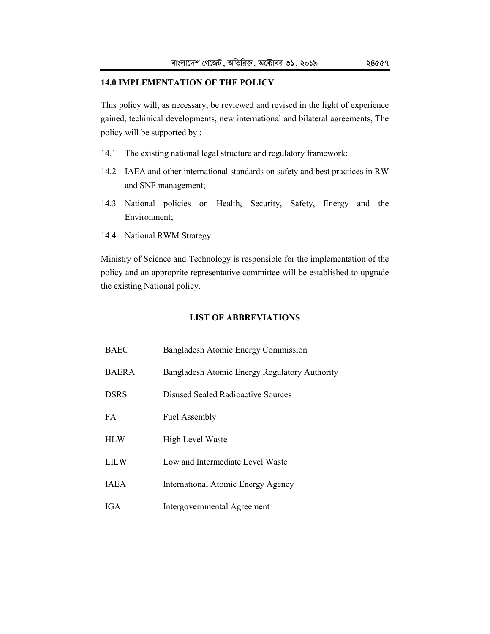### **14.0 IMPLEMENTATION OF THE POLICY**

This policy will, as necessary, be reviewed and revised in the light of experience gained, techinical developments, new international and bilateral agreements, The policy will be supported by :

- 14.1 The existing national legal structure and regulatory framework;
- 14.2 IAEA and other international standards on safety and best practices in RW and SNF management;
- 14.3 National policies on Health, Security, Safety, Energy and the Environment;
- 14.4 National RWM Strategy.

Ministry of Science and Technology is responsible for the implementation of the policy and an approprite representative committee will be established to upgrade the existing National policy.

### **LIST OF ABBREVIATIONS**

| BAEC         | Bangladesh Atomic Energy Commission           |
|--------------|-----------------------------------------------|
| <b>BAERA</b> | Bangladesh Atomic Energy Regulatory Authority |
| <b>DSRS</b>  | Disused Sealed Radioactive Sources            |
| FA           | <b>Fuel Assembly</b>                          |
| <b>HLW</b>   | High Level Waste                              |
| LILW         | Low and Intermediate Level Waste              |
| <b>IAEA</b>  | International Atomic Energy Agency            |
| IGA          | Intergovernmental Agreement                   |